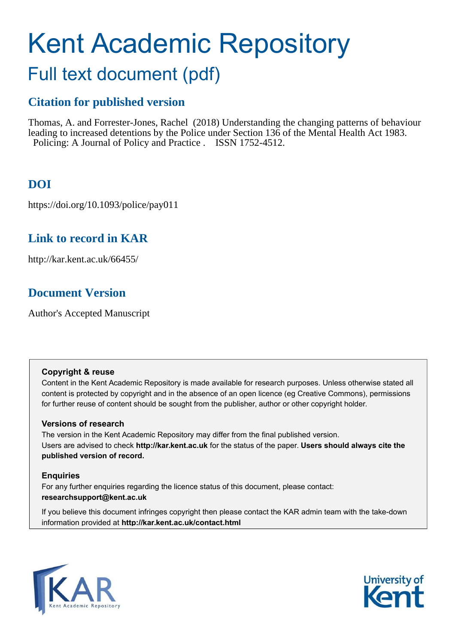# Kent Academic Repository

## Full text document (pdf)

## **Citation for published version**

Thomas, A. and Forrester-Jones, Rachel (2018) Understanding the changing patterns of behaviour leading to increased detentions by the Police under Section 136 of the Mental Health Act 1983. Policing: A Journal of Policy and Practice . ISSN 1752-4512.

## **DOI**

https://doi.org/10.1093/police/pay011

## **Link to record in KAR**

http://kar.kent.ac.uk/66455/

## **Document Version**

Author's Accepted Manuscript

#### **Copyright & reuse**

Content in the Kent Academic Repository is made available for research purposes. Unless otherwise stated all content is protected by copyright and in the absence of an open licence (eg Creative Commons), permissions for further reuse of content should be sought from the publisher, author or other copyright holder.

#### **Versions of research**

The version in the Kent Academic Repository may differ from the final published version. Users are advised to check **http://kar.kent.ac.uk** for the status of the paper. **Users should always cite the published version of record.**

#### **Enquiries**

For any further enquiries regarding the licence status of this document, please contact: **researchsupport@kent.ac.uk**

If you believe this document infringes copyright then please contact the KAR admin team with the take-down information provided at **http://kar.kent.ac.uk/contact.html**



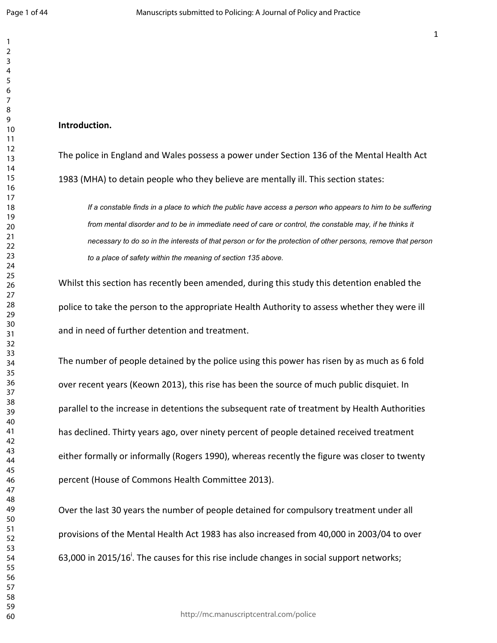#### **Introduction.**

The police in England and Wales possess a power under Section 136 of the Mental Health Act 1983 (MHA) to detain people who they believe are mentally ill. This section states:

If a constable finds in a place to which the public have access a person who appears to him to be suffering from mental disorder and to be in immediate need of care or control, the constable may, if he thinks it necessary to do so in the interests of that person or for the protection of other persons, remove that person  $\,$ to a place of safety within the meaning of section 135 above.

Whilst this section has recently been amended, during this study this detention enabled the police to take the person to the appropriate Health Authority to assess whether they were ill and in need of further detention and treatment.

The number of people detained by the police using this power has risen by as much as 6 fold over recent years (Keown 2013), this rise has been the source of much public disquiet. In parallel to the increase in detentions the subsequent rate of treatment by Health Authorities has declined. Thirty years ago, over ninety percent of people detained received treatment either formally or informally (Rogers 1990), whereas recently the figure was closer to twenty percent (House of Commons Health Committee 2013).

Over the last 30 years the number of people detained for compulsory treatment under all provisions of the Mental Health Act 1983 has also increased from 40,000 in 2003/04 to over 63,000 in 2015/16<sup>i</sup>. The causes for this rise include changes in social support networks;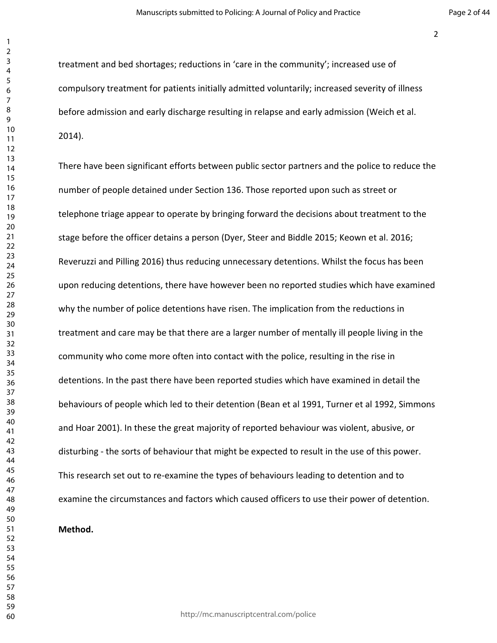treatment and bed shortages; reductions in 'care in the community'; increased use of compulsory treatment for patients initially admitted voluntarily; increased severity of illness before admission and early discharge resulting in relapse and early admission (Weich et al. 2014).

There have been significant efforts between public sector partners and the police to reduce the number of people detained under Section 136. Those reported upon such as street or telephone triage appear to operate by bringing forward the decisions about treatment to the stage before the officer detains a person (Dyer, Steer and Biddle 2015; Keown et al. 2016; Reveruzzi and Pilling 2016) thus reducing unnecessary detentions. Whilst the focus has been upon reducing detentions, there have however been no reported studies which have examined why the number of police detentions have risen. The implication from the reductions in treatment and care may be that there are a larger number of mentally ill people living in the community who come more often into contact with the police, resulting in the rise in detentions. In the past there have been reported studies which have examined in detail the behaviours of people which led to their detention (Bean et al 1991, Turner et al 1992, Simmons and Hoar 2001). In these the great majority of reported behaviour was violent, abusive, or disturbing - the sorts of behaviour that might be expected to result in the use of this power. This research set out to re-examine the types of behaviours leading to detention and to examine the circumstances and factors which caused officers to use their power of detention.

#### **Method.**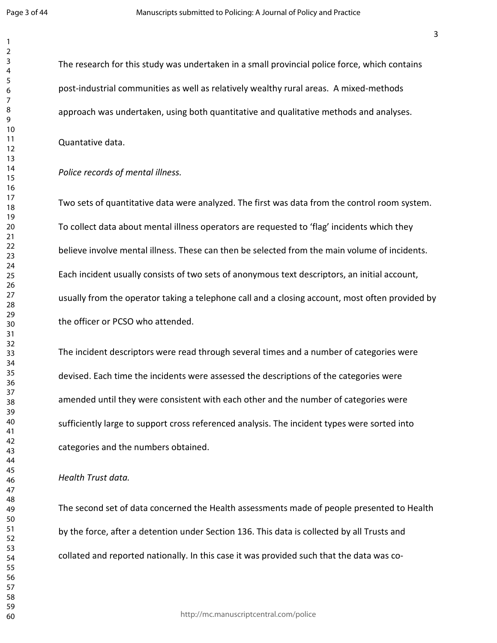The research for this study was undertaken in a small provincial police force, which contains post-industrial communities as well as relatively wealthy rural areas. A mixed-methods approach was undertaken, using both quantitative and qualitative methods and analyses.

Quantative data.

#### *Police records of mental illness.*

Two sets of quantitative data were analyzed. The first was data from the control room system. To collect data about mental illness operators are requested to 'flag' incidents which they believe involve mental illness. These can then be selected from the main volume of incidents. Each incident usually consists of two sets of anonymous text descriptors, an initial account, usually from the operator taking a telephone call and a closing account, most often provided by the officer or PCSO who attended.

The incident descriptors were read through several times and a number of categories were devised. Each time the incidents were assessed the descriptions of the categories were amended until they were consistent with each other and the number of categories were sufficiently large to support cross referenced analysis. The incident types were sorted into categories and the numbers obtained.

#### *Health Trust data.*

The second set of data concerned the Health assessments made of people presented to Health by the force, after a detention under Section 136. This data is collected by all Trusts and collated and reported nationally. In this case it was provided such that the data was co-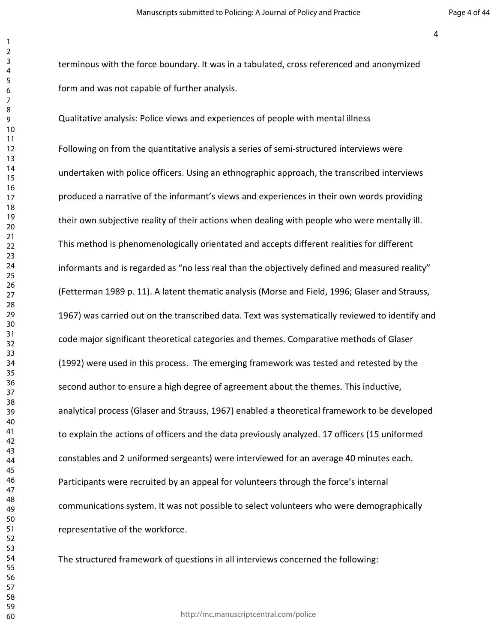terminous with the force boundary. It was in a tabulated, cross referenced and anonymized form and was not capable of further analysis.

Qualitative analysis: Police views and experiences of people with mental illness

Following on from the quantitative analysis a series of semi-structured interviews were undertaken with police officers. Using an ethnographic approach, the transcribed interviews produced a narrative of the informant's views and experiences in their own words providing their own subjective reality of their actions when dealing with people who were mentally ill. This method is phenomenologically orientated and accepts different realities for different informants and is regarded as "no less real than the objectively defined and measured reality" (Fetterman 1989 p. 11). A latent thematic analysis (Morse and Field, 1996; Glaser and Strauss, 1967) was carried out on the transcribed data. Text was systematically reviewed to identify and code major significant theoretical categories and themes. Comparative methods of Glaser (1992) were used in this process. The emerging framework was tested and retested by the second author to ensure a high degree of agreement about the themes. This inductive, analytical process (Glaser and Strauss, 1967) enabled a theoretical framework to be developed to explain the actions of officers and the data previously analyzed. 17 officers (15 uniformed constables and 2 uniformed sergeants) were interviewed for an average 40 minutes each. Participants were recruited by an appeal for volunteers through the force's internal communications system. It was not possible to select volunteers who were demographically representative of the workforce.

The structured framework of questions in all interviews concerned the following:

http://mc.manuscriptcentral.com/police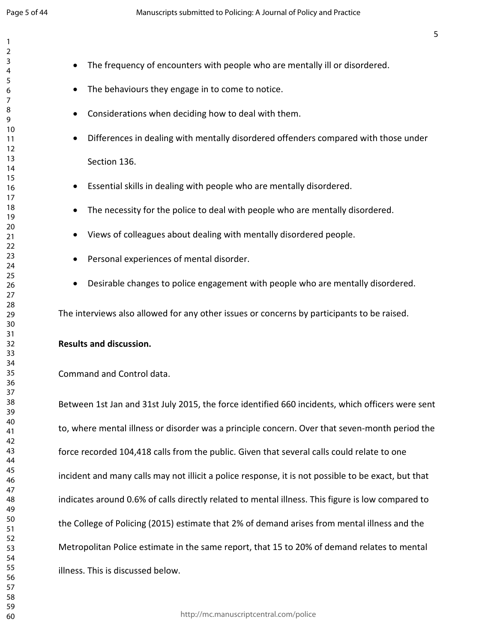- The frequency of encounters with people who are mentally ill or disordered. • The behaviours they engage in to come to notice. Considerations when deciding how to deal with them. Differences in dealing with mentally disordered offenders compared with those under Section 136. Essential skills in dealing with people who are mentally disordered. The necessity for the police to deal with people who are mentally disordered. Views of colleagues about dealing with mentally disordered people.
	- Personal experiences of mental disorder.
	- Desirable changes to police engagement with people who are mentally disordered.

The interviews also allowed for any other issues or concerns by participants to be raised.

#### **Results and discussion.**

#### Command and Control data.

Between 1st Jan and 31st July 2015, the force identified 660 incidents, which officers were sent to, where mental illness or disorder was a principle concern. Over that seven-month period the force recorded 104,418 calls from the public. Given that several calls could relate to one incident and many calls may not illicit a police response, it is not possible to be exact, but that indicates around 0.6% of calls directly related to mental illness. This figure is low compared to the College of Policing (2015) estimate that 2% of demand arises from mental illness and the Metropolitan Police estimate in the same report, that 15 to 20% of demand relates to mental illness. This is discussed below.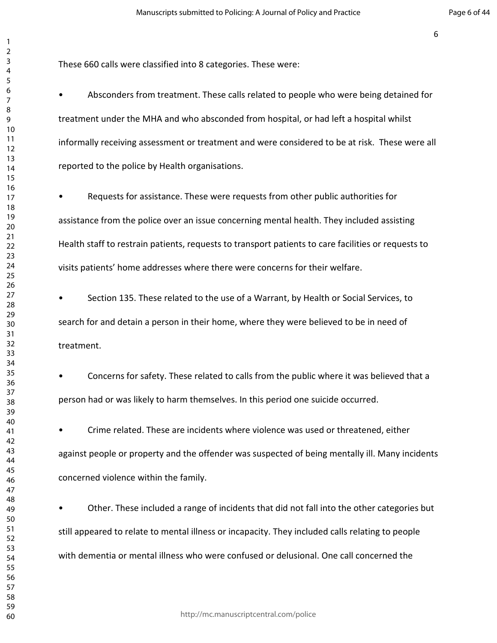These 660 calls were classified into 8 categories. These were:

• Absconders from treatment. These calls related to people who were being detained for treatment under the MHA and who absconded from hospital, or had left a hospital whilst informally receiving assessment or treatment and were considered to be at risk. These were all reported to the police by Health organisations.

• Requests for assistance. These were requests from other public authorities for assistance from the police over an issue concerning mental health. They included assisting Health staff to restrain patients, requests to transport patients to care facilities or requests to visits patients' home addresses where there were concerns for their welfare.

• Section 135. These related to the use of a Warrant, by Health or Social Services, to search for and detain a person in their home, where they were believed to be in need of treatment.

• Concerns for safety. These related to calls from the public where it was believed that a person had or was likely to harm themselves. In this period one suicide occurred.

• Crime related. These are incidents where violence was used or threatened, either against people or property and the offender was suspected of being mentally ill. Many incidents concerned violence within the family.

• Other. These included a range of incidents that did not fall into the other categories but still appeared to relate to mental illness or incapacity. They included calls relating to people with dementia or mental illness who were confused or delusional. One call concerned the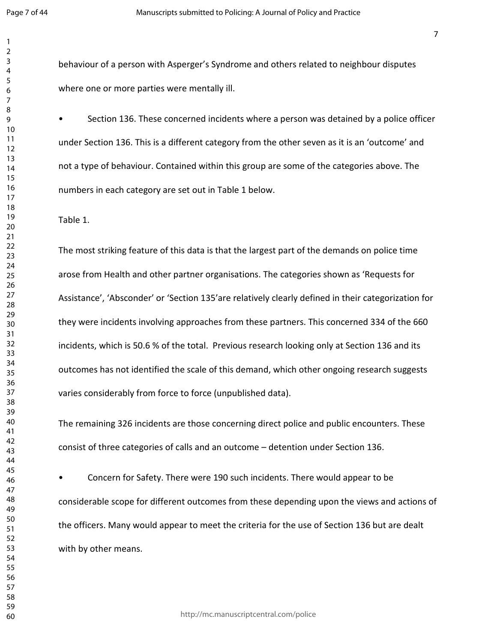behaviour of a person with Asperger's Syndrome and others related to neighbour disputes where one or more parties were mentally ill.

• Section 136. These concerned incidents where a person was detained by a police officer under Section 136. This is a different category from the other seven as it is an 'outcome' and not a type of behaviour. Contained within this group are some of the categories above. The numbers in each category are set out in Table 1 below.

Table 1.

The most striking feature of this data is that the largest part of the demands on police time arose from Health and other partner organisations. The categories shown as 'Requests for Assistance', 'Absconder' or 'Section 135'are relatively clearly defined in their categorization for they were incidents involving approaches from these partners. This concerned 334 of the 660 incidents, which is 50.6 % of the total. Previous research looking only at Section 136 and its outcomes has not identified the scale of this demand, which other ongoing research suggests varies considerably from force to force (unpublished data).

The remaining 326 incidents are those concerning direct police and public encounters. These consist of three categories of calls and an outcome – detention under Section 136.

• Concern for Safety. There were 190 such incidents. There would appear to be considerable scope for different outcomes from these depending upon the views and actions of the officers. Many would appear to meet the criteria for the use of Section 136 but are dealt with by other means.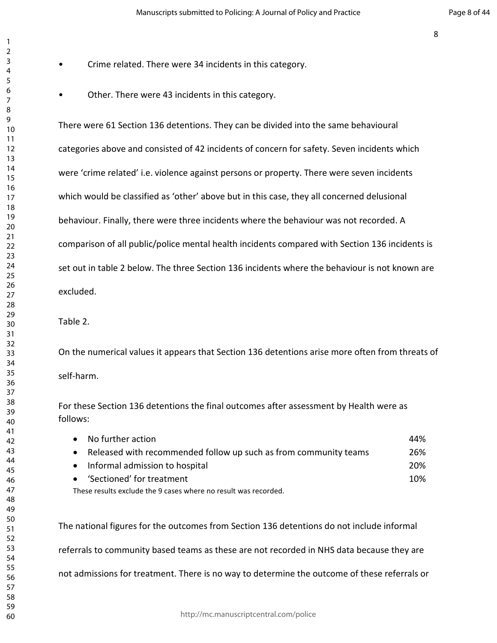- Crime related. There were 34 incidents in this category.
	- Other. There were 43 incidents in this category.

There were 61 Section 136 detentions. They can be divided into the same behavioural categories above and consisted of 42 incidents of concern for safety. Seven incidents which were 'crime related' i.e. violence against persons or property. There were seven incidents which would be classified as 'other' above but in this case, they all concerned delusional behaviour. Finally, there were three incidents where the behaviour was not recorded. A comparison of all public/police mental health incidents compared with Section 136 incidents is set out in table 2 below. The three Section 136 incidents where the behaviour is not known are excluded.

#### Table 2.

On the numerical values it appears that Section 136 detentions arise more often from threats of self-harm.

For these Section 136 detentions the final outcomes after assessment by Health were as follows:

| No further action                                                             | 44% |
|-------------------------------------------------------------------------------|-----|
| Released with recommended follow up such as from community teams<br>$\bullet$ | 26% |
| Informal admission to hospital<br>$\bullet$                                   | 20% |
| 'Sectioned' for treatment<br>$\bullet$                                        | 10% |
| These results exclude the 9 cases where no result was recorded.               |     |

The national figures for the outcomes from Section 136 detentions do not include informal referrals to community based teams as these are not recorded in NHS data because they are not admissions for treatment. There is no way to determine the outcome of these referrals or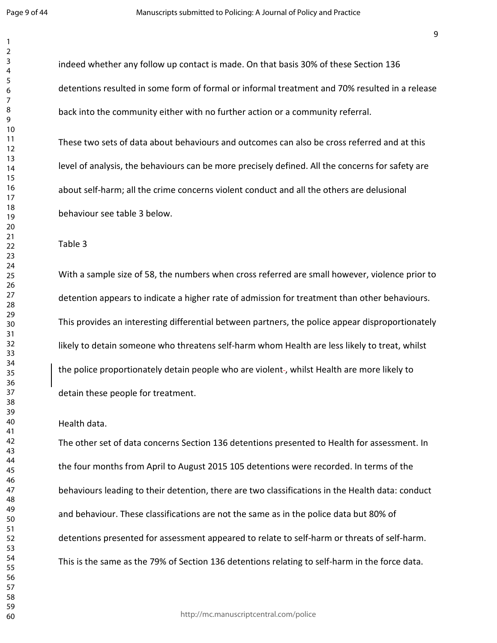indeed whether any follow up contact is made. On that basis 30% of these Section 136 detentions resulted in some form of formal or informal treatment and 70% resulted in a release back into the community either with no further action or a community referral.

These two sets of data about behaviours and outcomes can also be cross referred and at this level of analysis, the behaviours can be more precisely defined. All the concerns for safety are about self-harm; all the crime concerns violent conduct and all the others are delusional behaviour see table 3 below.

Table 3

With a sample size of 58, the numbers when cross referred are small however, violence prior to detention appears to indicate a higher rate of admission for treatment than other behaviours. This provides an interesting differential between partners, the police appear disproportionately likely to detain someone who threatens self-harm whom Health are less likely to treat, whilst the police proportionately detain people who are violent-, whilst Health are more likely to detain these people for treatment.

Health data.

The other set of data concerns Section 136 detentions presented to Health for assessment. In the four months from April to August 2015 105 detentions were recorded. In terms of the behaviours leading to their detention, there are two classifications in the Health data: conduct and behaviour. These classifications are not the same as in the police data but 80% of detentions presented for assessment appeared to relate to self-harm or threats of self-harm. This is the same as the 79% of Section 136 detentions relating to self-harm in the force data.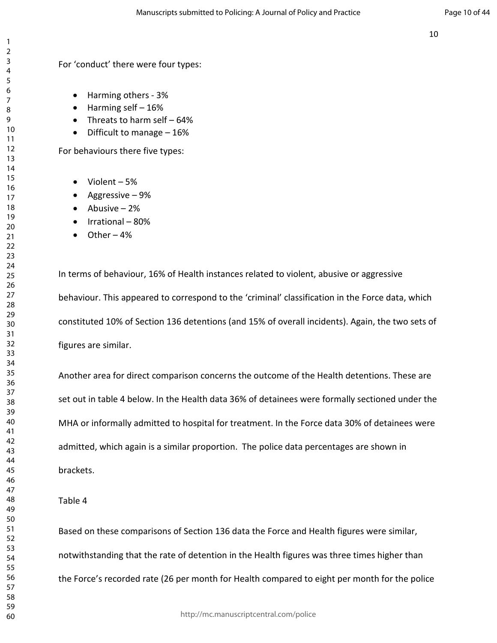For 'conduct' there were four types:

- Harming others 3%
- $\bullet$  Harming self  $-16\%$
- Threats to harm self 64%
- Difficult to manage 16%

For behaviours there five types:

- Violent 5%
- Aggressive 9%
- Abusive 2%
- Irrational 80%
- $\bullet$  Other 4%

In terms of behaviour, 16% of Health instances related to violent, abusive or aggressive behaviour. This appeared to correspond to the 'criminal' classification in the Force data, which constituted 10% of Section 136 detentions (and 15% of overall incidents). Again, the two sets of figures are similar.

Another area for direct comparison concerns the outcome of the Health detentions. These are set out in table 4 below. In the Health data 36% of detainees were formally sectioned under the MHA or informally admitted to hospital for treatment. In the Force data 30% of detainees were admitted, which again is a similar proportion. The police data percentages are shown in brackets.

#### Table 4

Based on these comparisons of Section 136 data the Force and Health figures were similar, notwithstanding that the rate of detention in the Health figures was three times higher than the Force's recorded rate (26 per month for Health compared to eight per month for the police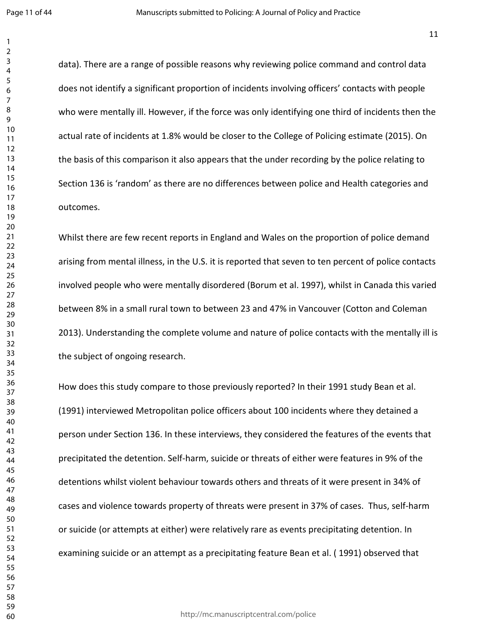data). There are a range of possible reasons why reviewing police command and control data does not identify a significant proportion of incidents involving officers' contacts with people who were mentally ill. However, if the force was only identifying one third of incidents then the actual rate of incidents at 1.8% would be closer to the College of Policing estimate (2015). On the basis of this comparison it also appears that the under recording by the police relating to Section 136 is 'random' as there are no differences between police and Health categories and outcomes.

Whilst there are few recent reports in England and Wales on the proportion of police demand arising from mental illness, in the U.S. it is reported that seven to ten percent of police contacts involved people who were mentally disordered (Borum et al. 1997), whilst in Canada this varied between 8% in a small rural town to between 23 and 47% in Vancouver (Cotton and Coleman 2013). Understanding the complete volume and nature of police contacts with the mentally ill is the subject of ongoing research.

How does this study compare to those previously reported? In their 1991 study Bean et al. (1991) interviewed Metropolitan police officers about 100 incidents where they detained a person under Section 136. In these interviews, they considered the features of the events that precipitated the detention. Self-harm, suicide or threats of either were features in 9% of the detentions whilst violent behaviour towards others and threats of it were present in 34% of cases and violence towards property of threats were present in 37% of cases. Thus, self-harm or suicide (or attempts at either) were relatively rare as events precipitating detention. In examining suicide or an attempt as a precipitating feature Bean et al. ( 1991) observed that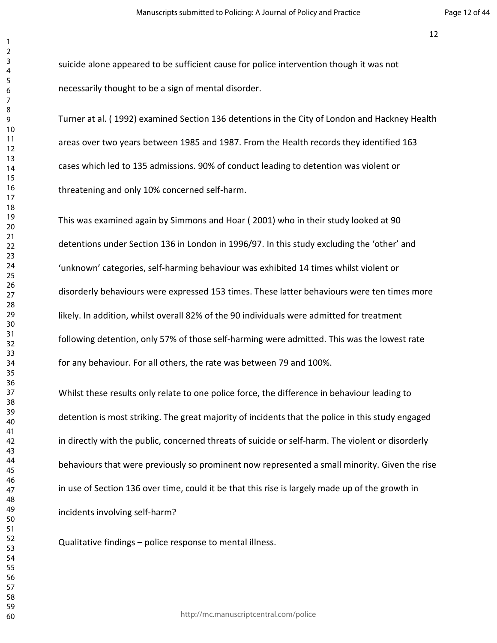suicide alone appeared to be sufficient cause for police intervention though it was not necessarily thought to be a sign of mental disorder.

Turner at al. ( 1992) examined Section 136 detentions in the City of London and Hackney Health areas over two years between 1985 and 1987. From the Health records they identified 163 cases which led to 135 admissions. 90% of conduct leading to detention was violent or threatening and only 10% concerned self-harm.

This was examined again by Simmons and Hoar ( 2001) who in their study looked at 90 detentions under Section 136 in London in 1996/97. In this study excluding the 'other' and 'unknown' categories, self-harming behaviour was exhibited 14 times whilst violent or disorderly behaviours were expressed 153 times. These latter behaviours were ten times more likely. In addition, whilst overall 82% of the 90 individuals were admitted for treatment following detention, only 57% of those self-harming were admitted. This was the lowest rate for any behaviour. For all others, the rate was between 79 and 100%.

Whilst these results only relate to one police force, the difference in behaviour leading to detention is most striking. The great majority of incidents that the police in this study engaged in directly with the public, concerned threats of suicide or self-harm. The violent or disorderly behaviours that were previously so prominent now represented a small minority. Given the rise in use of Section 136 over time, could it be that this rise is largely made up of the growth in incidents involving self-harm?

Qualitative findings – police response to mental illness.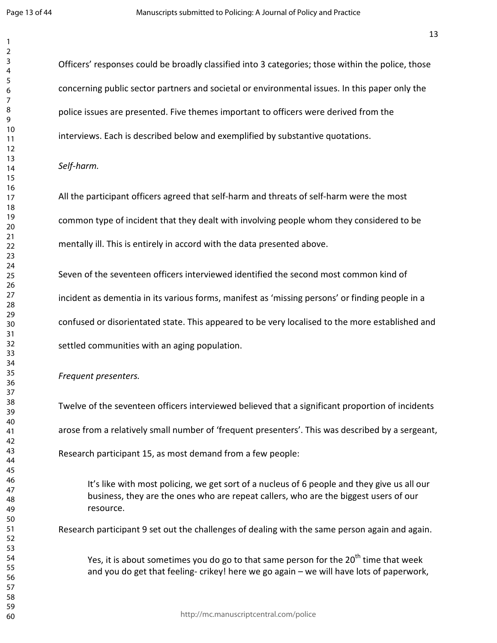Officers' responses could be broadly classified into 3 categories; those within the police, those concerning public sector partners and societal or environmental issues. In this paper only the police issues are presented. Five themes important to officers were derived from the interviews. Each is described below and exemplified by substantive quotations.

#### *Self-harm.*

All the participant officers agreed that self-harm and threats of self-harm were the most common type of incident that they dealt with involving people whom they considered to be mentally ill. This is entirely in accord with the data presented above.

Seven of the seventeen officers interviewed identified the second most common kind of incident as dementia in its various forms, manifest as 'missing persons' or finding people in a confused or disorientated state. This appeared to be very localised to the more established and settled communities with an aging population.

*Frequent presenters.* 

Twelve of the seventeen officers interviewed believed that a significant proportion of incidents arose from a relatively small number of 'frequent presenters'. This was described by a sergeant, Research participant 15, as most demand from a few people:

It's like with most policing, we get sort of a nucleus of 6 people and they give us all our business, they are the ones who are repeat callers, who are the biggest users of our resource.

Research participant 9 set out the challenges of dealing with the same person again and again.

Yes, it is about sometimes you do go to that same person for the  $20^{th}$  time that week and you do get that feeling- crikey! here we go again – we will have lots of paperwork,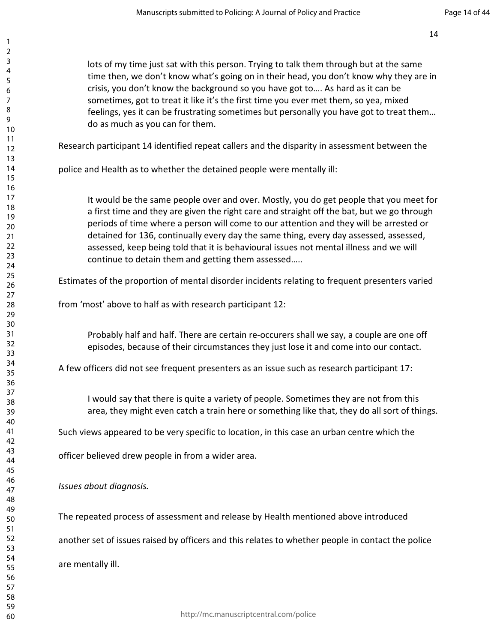lots of my time just sat with this person. Trying to talk them through but at the same time then, we don't know what's going on in their head, you don't know why they are in crisis, you don't know the background so you have got to…. As hard as it can be sometimes, got to treat it like it's the first time you ever met them, so yea, mixed feelings, yes it can be frustrating sometimes but personally you have got to treat them… do as much as you can for them. Research participant 14 identified repeat callers and the disparity in assessment between the police and Health as to whether the detained people were mentally ill: It would be the same people over and over. Mostly, you do get people that you meet for a first time and they are given the right care and straight off the bat, but we go through periods of time where a person will come to our attention and they will be arrested or detained for 136, continually every day the same thing, every day assessed, assessed, assessed, keep being told that it is behavioural issues not mental illness and we will continue to detain them and getting them assessed….. Estimates of the proportion of mental disorder incidents relating to frequent presenters varied from 'most' above to half as with research participant 12: Probably half and half. There are certain re-occurers shall we say, a couple are one off episodes, because of their circumstances they just lose it and come into our contact. A few officers did not see frequent presenters as an issue such as research participant 17: I would say that there is quite a variety of people. Sometimes they are not from this area, they might even catch a train here or something like that, they do all sort of things. Such views appeared to be very specific to location, in this case an urban centre which the officer believed drew people in from a wider area. *Issues about diagnosis.*  The repeated process of assessment and release by Health mentioned above introduced another set of issues raised by officers and this relates to whether people in contact the police are mentally ill.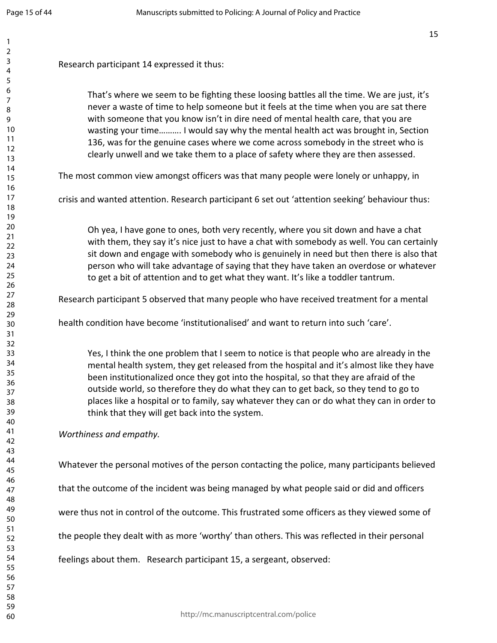| Research participant 14 expressed it thus:                                                                                                                                                                                                                                                                                                                                                                                                                                                                                            |
|---------------------------------------------------------------------------------------------------------------------------------------------------------------------------------------------------------------------------------------------------------------------------------------------------------------------------------------------------------------------------------------------------------------------------------------------------------------------------------------------------------------------------------------|
| That's where we seem to be fighting these loosing battles all the time. We are just, it's<br>never a waste of time to help someone but it feels at the time when you are sat there<br>with someone that you know isn't in dire need of mental health care, that you are<br>wasting your time I would say why the mental health act was brought in, Section<br>136, was for the genuine cases where we come across somebody in the street who is<br>clearly unwell and we take them to a place of safety where they are then assessed. |
| The most common view amongst officers was that many people were lonely or unhappy, in                                                                                                                                                                                                                                                                                                                                                                                                                                                 |
| crisis and wanted attention. Research participant 6 set out 'attention seeking' behaviour thus:                                                                                                                                                                                                                                                                                                                                                                                                                                       |
| Oh yea, I have gone to ones, both very recently, where you sit down and have a chat<br>with them, they say it's nice just to have a chat with somebody as well. You can certainly<br>sit down and engage with somebody who is genuinely in need but then there is also that<br>person who will take advantage of saying that they have taken an overdose or whatever<br>to get a bit of attention and to get what they want. It's like a toddler tantrum.                                                                             |
| Research participant 5 observed that many people who have received treatment for a mental                                                                                                                                                                                                                                                                                                                                                                                                                                             |
| health condition have become 'institutionalised' and want to return into such 'care'.                                                                                                                                                                                                                                                                                                                                                                                                                                                 |
| Yes, I think the one problem that I seem to notice is that people who are already in the<br>mental health system, they get released from the hospital and it's almost like they have<br>been institutionalized once they got into the hospital, so that they are afraid of the<br>outside world, so therefore they do what they can to get back, so they tend to go to<br>places like a hospital or to family, say whatever they can or do what they can in order to<br>think that they will get back into the system.                |
| Worthiness and empathy.                                                                                                                                                                                                                                                                                                                                                                                                                                                                                                               |
| Whatever the personal motives of the person contacting the police, many participants believed                                                                                                                                                                                                                                                                                                                                                                                                                                         |
| that the outcome of the incident was being managed by what people said or did and officers                                                                                                                                                                                                                                                                                                                                                                                                                                            |
| were thus not in control of the outcome. This frustrated some officers as they viewed some of                                                                                                                                                                                                                                                                                                                                                                                                                                         |
| the people they dealt with as more 'worthy' than others. This was reflected in their personal                                                                                                                                                                                                                                                                                                                                                                                                                                         |
|                                                                                                                                                                                                                                                                                                                                                                                                                                                                                                                                       |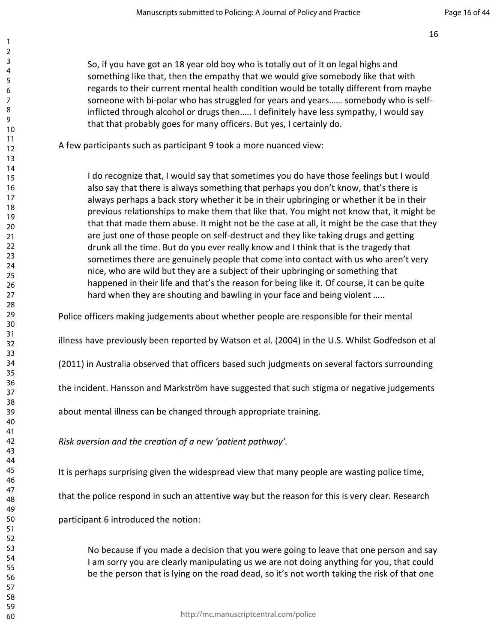So, if you have got an 18 year old boy who is totally out of it on legal highs and something like that, then the empathy that we would give somebody like that with regards to their current mental health condition would be totally different from maybe someone with bi-polar who has struggled for years and years…… somebody who is selfinflicted through alcohol or drugs then….. I definitely have less sympathy, I would say that that probably goes for many officers. But yes, I certainly do.

A few participants such as participant 9 took a more nuanced view:

I do recognize that, I would say that sometimes you do have those feelings but I would also say that there is always something that perhaps you don't know, that's there is always perhaps a back story whether it be in their upbringing or whether it be in their previous relationships to make them that like that. You might not know that, it might be that that made them abuse. It might not be the case at all, it might be the case that they are just one of those people on self-destruct and they like taking drugs and getting drunk all the time. But do you ever really know and I think that is the tragedy that sometimes there are genuinely people that come into contact with us who aren't very nice, who are wild but they are a subject of their upbringing or something that happened in their life and that's the reason for being like it. Of course, it can be quite hard when they are shouting and bawling in your face and being violent …..

Police officers making judgements about whether people are responsible for their mental

illness have previously been reported by Watson et al. (2004) in the U.S. Whilst Godfedson et al

(2011) in Australia observed that officers based such judgments on several factors surrounding

the incident. Hansson and Markström have suggested that such stigma or negative judgements

about mental illness can be changed through appropriate training.

*Risk aversion and the creation of a new 'patient pathway'.* 

It is perhaps surprising given the widespread view that many people are wasting police time,

that the police respond in such an attentive way but the reason for this is very clear. Research

participant 6 introduced the notion:

No because if you made a decision that you were going to leave that one person and say I am sorry you are clearly manipulating us we are not doing anything for you, that could be the person that is lying on the road dead, so it's not worth taking the risk of that one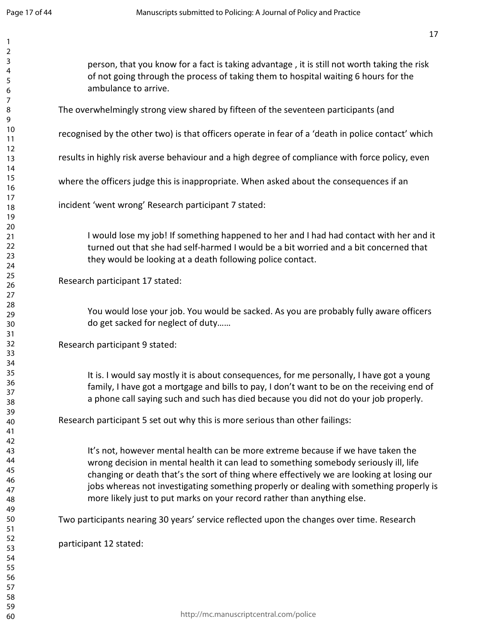| $\overline{c}$ |                                                                                                    |
|----------------|----------------------------------------------------------------------------------------------------|
| 3              |                                                                                                    |
| 4              | person, that you know for a fact is taking advantage, it is still not worth taking the risk        |
|                | of not going through the process of taking them to hospital waiting 6 hours for the                |
| 5              | ambulance to arrive.                                                                               |
| 6              |                                                                                                    |
| 7              |                                                                                                    |
| 8              | The overwhelmingly strong view shared by fifteen of the seventeen participants (and                |
| 9              |                                                                                                    |
| 10             | recognised by the other two) is that officers operate in fear of a 'death in police contact' which |
| 11             |                                                                                                    |
| 12             |                                                                                                    |
| 13             | results in highly risk averse behaviour and a high degree of compliance with force policy, even    |
| 14             |                                                                                                    |
| 15             |                                                                                                    |
| 16             | where the officers judge this is inappropriate. When asked about the consequences if an            |
| 17             |                                                                                                    |
| 18             | incident 'went wrong' Research participant 7 stated:                                               |
| 19             |                                                                                                    |
|                |                                                                                                    |
| 20             |                                                                                                    |
| 21             | I would lose my job! If something happened to her and I had had contact with her and it            |
| 22             | turned out that she had self-harmed I would be a bit worried and a bit concerned that              |
| 23             | they would be looking at a death following police contact.                                         |
| 24             |                                                                                                    |
| 25             |                                                                                                    |
| 26             | Research participant 17 stated:                                                                    |
| 27             |                                                                                                    |
| 28             |                                                                                                    |
| 29             | You would lose your job. You would be sacked. As you are probably fully aware officers             |
| 30             | do get sacked for neglect of duty                                                                  |
| 31             |                                                                                                    |
| 32             |                                                                                                    |
| 33             | Research participant 9 stated:                                                                     |
|                |                                                                                                    |
| 34             |                                                                                                    |
| 35             | It is. I would say mostly it is about consequences, for me personally, I have got a young          |
| 36             | family, I have got a mortgage and bills to pay, I don't want to be on the receiving end of         |
| 37             | a phone call saying such and such has died because you did not do your job properly.               |
| 38             |                                                                                                    |
| 39             |                                                                                                    |
| 40             | Research participant 5 set out why this is more serious than other failings:                       |
| 41             |                                                                                                    |
| 42             |                                                                                                    |
| 43             | It's not, however mental health can be more extreme because if we have taken the                   |
| 44             | wrong decision in mental health it can lead to something somebody seriously ill, life              |
| 45             |                                                                                                    |
| 46             | changing or death that's the sort of thing where effectively we are looking at losing our          |
| 47             | jobs whereas not investigating something properly or dealing with something properly is            |
| 48             | more likely just to put marks on your record rather than anything else.                            |
| 49             |                                                                                                    |
|                |                                                                                                    |
| 50             | Two participants nearing 30 years' service reflected upon the changes over time. Research          |
| 51             |                                                                                                    |
| 52             | participant 12 stated:                                                                             |
| 53             |                                                                                                    |
| 54             |                                                                                                    |
| 55             |                                                                                                    |
| 56             |                                                                                                    |
| 57             |                                                                                                    |
| 58             |                                                                                                    |
| 59             |                                                                                                    |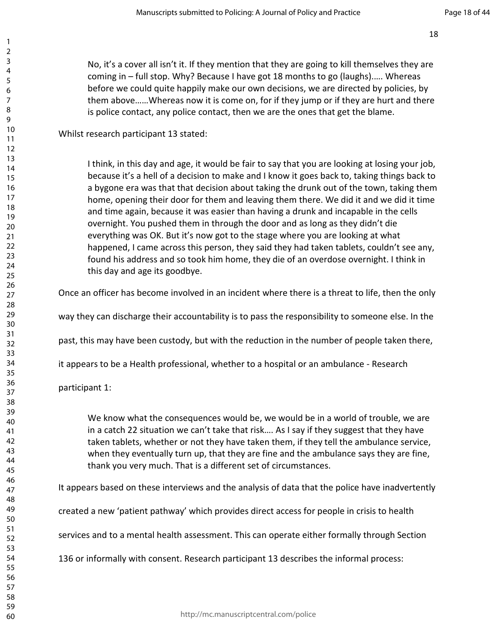No, it's a cover all isn't it. If they mention that they are going to kill themselves they are coming in – full stop. Why? Because I have got 18 months to go (laughs).…. Whereas before we could quite happily make our own decisions, we are directed by policies, by them above……Whereas now it is come on, for if they jump or if they are hurt and there is police contact, any police contact, then we are the ones that get the blame.

Whilst research participant 13 stated:

I think, in this day and age, it would be fair to say that you are looking at losing your job, because it's a hell of a decision to make and I know it goes back to, taking things back to a bygone era was that that decision about taking the drunk out of the town, taking them home, opening their door for them and leaving them there. We did it and we did it time and time again, because it was easier than having a drunk and incapable in the cells overnight. You pushed them in through the door and as long as they didn't die everything was OK. But it's now got to the stage where you are looking at what happened, I came across this person, they said they had taken tablets, couldn't see any, found his address and so took him home, they die of an overdose overnight. I think in this day and age its goodbye.

Once an officer has become involved in an incident where there is a threat to life, then the only

way they can discharge their accountability is to pass the responsibility to someone else. In the

past, this may have been custody, but with the reduction in the number of people taken there,

it appears to be a Health professional, whether to a hospital or an ambulance - Research

participant 1:

We know what the consequences would be, we would be in a world of trouble, we are in a catch 22 situation we can't take that risk…. As I say if they suggest that they have taken tablets, whether or not they have taken them, if they tell the ambulance service, when they eventually turn up, that they are fine and the ambulance says they are fine, thank you very much. That is a different set of circumstances.

It appears based on these interviews and the analysis of data that the police have inadvertently

created a new 'patient pathway' which provides direct access for people in crisis to health

services and to a mental health assessment. This can operate either formally through Section

136 or informally with consent. Research participant 13 describes the informal process: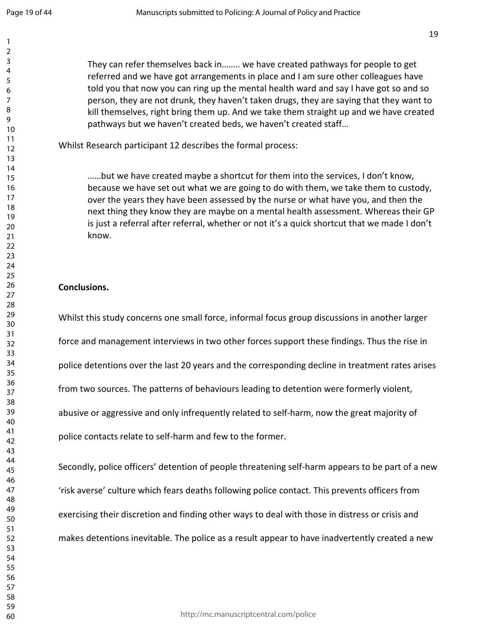They can refer themselves back in…….. we have created pathways for people to get referred and we have got arrangements in place and I am sure other colleagues have told you that now you can ring up the mental health ward and say I have got so and so person, they are not drunk, they haven't taken drugs, they are saying that they want to kill themselves, right bring them up. And we take them straight up and we have created pathways but we haven't created beds, we haven't created staff…

Whilst Research participant 12 describes the formal process:

……but we have created maybe a shortcut for them into the services, I don't know, because we have set out what we are going to do with them, we take them to custody, over the years they have been assessed by the nurse or what have you, and then the next thing they know they are maybe on a mental health assessment. Whereas their GP is just a referral after referral, whether or not it's a quick shortcut that we made I don't know.

#### **Conclusions.**

Whilst this study concerns one small force, informal focus group discussions in another larger force and management interviews in two other forces support these findings. Thus the rise in police detentions over the last 20 years and the corresponding decline in treatment rates arises from two sources. The patterns of behaviours leading to detention were formerly violent, abusive or aggressive and only infrequently related to self-harm, now the great majority of police contacts relate to self-harm and few to the former.

Secondly, police officers' detention of people threatening self-harm appears to be part of a new 'risk averse' culture which fears deaths following police contact. This prevents officers from exercising their discretion and finding other ways to deal with those in distress or crisis and makes detentions inevitable. The police as a result appear to have inadvertently created a new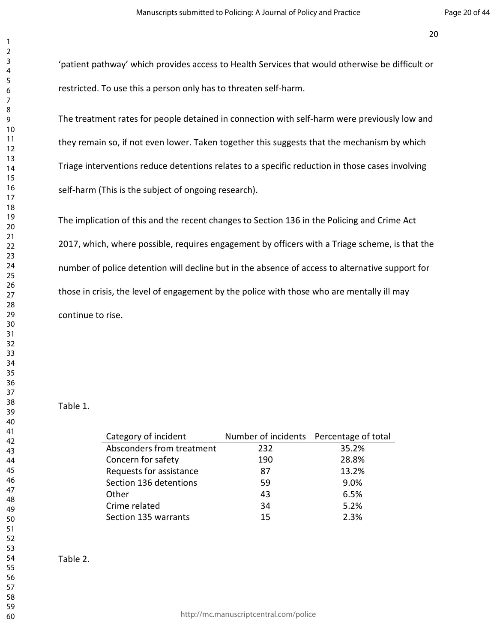'patient pathway' which provides access to Health Services that would otherwise be difficult or restricted. To use this a person only has to threaten self-harm.

The treatment rates for people detained in connection with self-harm were previously low and they remain so, if not even lower. Taken together this suggests that the mechanism by which Triage interventions reduce detentions relates to a specific reduction in those cases involving self-harm (This is the subject of ongoing research).

The implication of this and the recent changes to Section 136 in the Policing and Crime Act 2017, which, where possible, requires engagement by officers with a Triage scheme, is that the number of police detention will decline but in the absence of access to alternative support for those in crisis, the level of engagement by the police with those who are mentally ill may continue to rise.

#### Table 1.

| Category of incident      | Number of incidents Percentage of total |       |
|---------------------------|-----------------------------------------|-------|
| Absconders from treatment | 232                                     | 35.2% |
| Concern for safety        | 190                                     | 28.8% |
| Requests for assistance   | 87                                      | 13.2% |
| Section 136 detentions    | 59                                      | 9.0%  |
| Other                     | 43                                      | 6.5%  |
| Crime related             | 34                                      | 5.2%  |
| Section 135 warrants      | 15                                      | 2.3%  |

http://mc.manuscriptcentral.com/police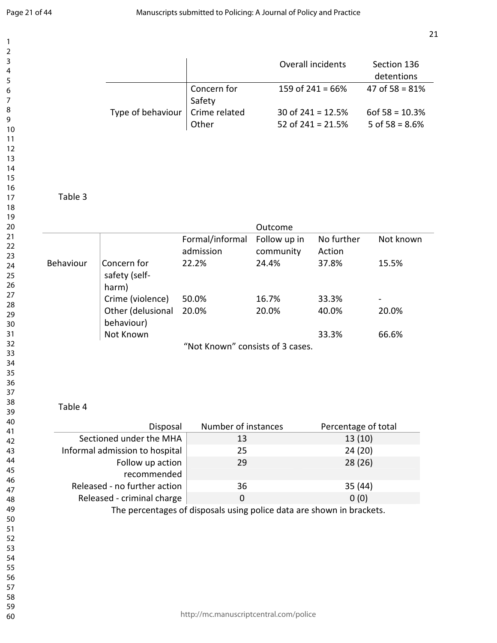|           |                                                            |                                  |                           | Overall incidents                          | Section 136<br>detentions               |
|-----------|------------------------------------------------------------|----------------------------------|---------------------------|--------------------------------------------|-----------------------------------------|
|           |                                                            | Concern for<br>Safety            |                           | 159 of $241 = 66%$                         | 47 of $58 = 81%$                        |
|           | Type of behaviour                                          | Crime related<br>Other           |                           | 30 of $241 = 12.5%$<br>52 of $241 = 21.5%$ | $60f\,58 = 10.3\%$<br>5 of $58 = 8.6\%$ |
|           |                                                            |                                  |                           |                                            |                                         |
| Table 3   |                                                            |                                  |                           |                                            |                                         |
|           |                                                            |                                  | Outcome                   |                                            |                                         |
|           |                                                            | Formal/informal<br>admission     | Follow up in<br>community | No further<br>Action                       | Not known                               |
| Behaviour | Concern for<br>safety (self-<br>harm)                      | 22.2%                            | 24.4%                     | 37.8%                                      | 15.5%                                   |
|           | Crime (violence)<br>Other (delusional                      | 50.0%<br>20.0%                   | 16.7%<br>20.0%            | 33.3%<br>40.0%                             | 20.0%                                   |
|           | behaviour)                                                 |                                  |                           |                                            |                                         |
|           | Not Known                                                  | "Not Known" consists of 3 cases. |                           | 33.3%                                      | 66.6%                                   |
|           |                                                            |                                  |                           |                                            |                                         |
| Table 4   |                                                            |                                  |                           |                                            |                                         |
|           | Disposal                                                   | Number of instances              |                           | Percentage of total                        |                                         |
|           | Sectioned under the MHA<br>Informal admission to hospital  | 13<br>25                         |                           | 13(10)<br>24 (20)                          |                                         |
|           | Follow up action                                           | 29                               |                           | 28 (26)                                    |                                         |
|           | recommended                                                |                                  |                           |                                            |                                         |
|           |                                                            |                                  |                           | 35 (44)                                    |                                         |
|           | Released - no further action<br>Released - criminal charge | 36<br>$\mathbf 0$                |                           | 0(0)                                       |                                         |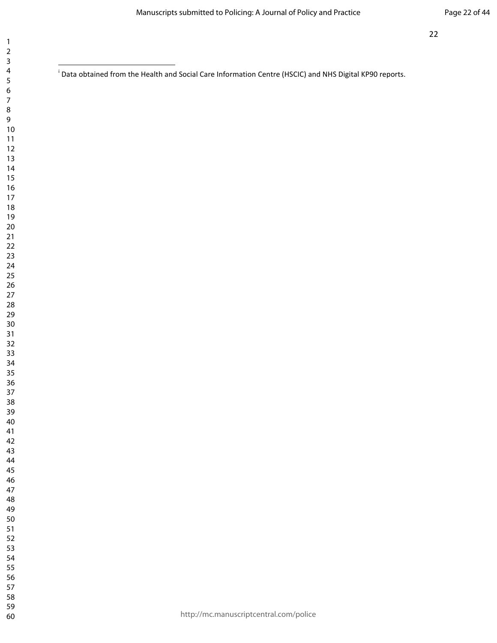<sup>&</sup>lt;sup>i</sup> Data obtained from the Health and Social Care Information Centre (HSCIC) and NHS Digital KP90 reports.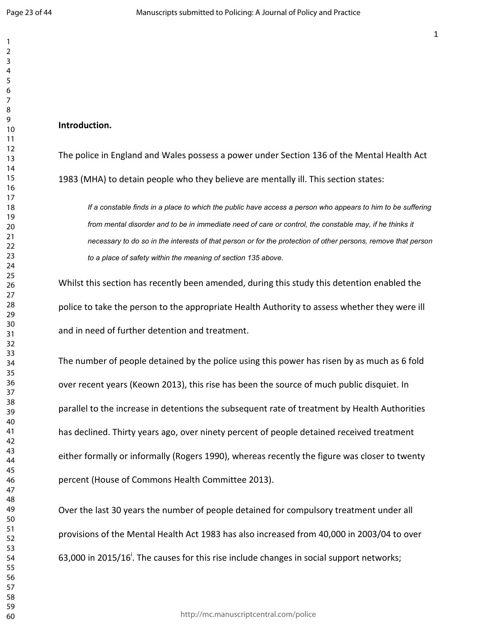#### **Introduction.**

The police in England and Wales possess a power under Section 136 of the Mental Health Act 1983 (MHA) to detain people who they believe are mentally ill. This section states:

If a constable finds in a place to which the public have access a person who appears to him to be suffering from mental disorder and to be in immediate need of care or control, the constable may, if he thinks it necessary to do so in the interests of that person or for the protection of other persons, remove that person  $\,$ to a place of safety within the meaning of section 135 above.

Whilst this section has recently been amended, during this study this detention enabled the police to take the person to the appropriate Health Authority to assess whether they were ill and in need of further detention and treatment.

The number of people detained by the police using this power has risen by as much as 6 fold over recent years (Keown 2013), this rise has been the source of much public disquiet. In parallel to the increase in detentions the subsequent rate of treatment by Health Authorities has declined. Thirty years ago, over ninety percent of people detained received treatment either formally or informally (Rogers 1990), whereas recently the figure was closer to twenty percent (House of Commons Health Committee 2013).

Over the last 30 years the number of people detained for compulsory treatment under all provisions of the Mental Health Act 1983 has also increased from 40,000 in 2003/04 to over 63,000 in 2015/16<sup>i</sup>. The causes for this rise include changes in social support networks;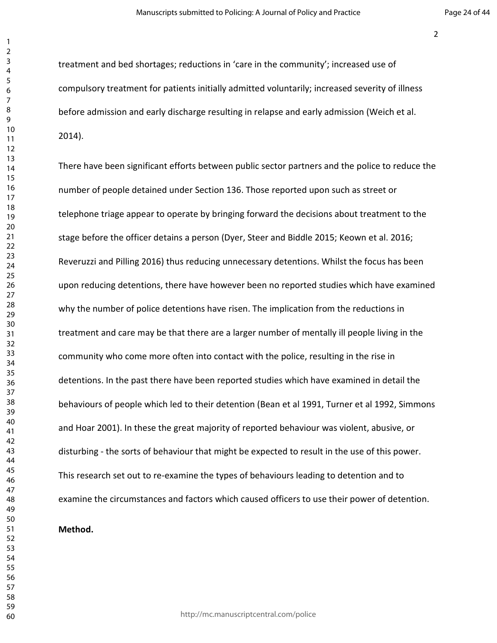treatment and bed shortages; reductions in 'care in the community'; increased use of compulsory treatment for patients initially admitted voluntarily; increased severity of illness before admission and early discharge resulting in relapse and early admission (Weich et al. 2014).

There have been significant efforts between public sector partners and the police to reduce the number of people detained under Section 136. Those reported upon such as street or telephone triage appear to operate by bringing forward the decisions about treatment to the stage before the officer detains a person (Dyer, Steer and Biddle 2015; Keown et al. 2016; Reveruzzi and Pilling 2016) thus reducing unnecessary detentions. Whilst the focus has been upon reducing detentions, there have however been no reported studies which have examined why the number of police detentions have risen. The implication from the reductions in treatment and care may be that there are a larger number of mentally ill people living in the community who come more often into contact with the police, resulting in the rise in detentions. In the past there have been reported studies which have examined in detail the behaviours of people which led to their detention (Bean et al 1991, Turner et al 1992, Simmons and Hoar 2001). In these the great majority of reported behaviour was violent, abusive, or disturbing - the sorts of behaviour that might be expected to result in the use of this power. This research set out to re-examine the types of behaviours leading to detention and to examine the circumstances and factors which caused officers to use their power of detention.

#### **Method.**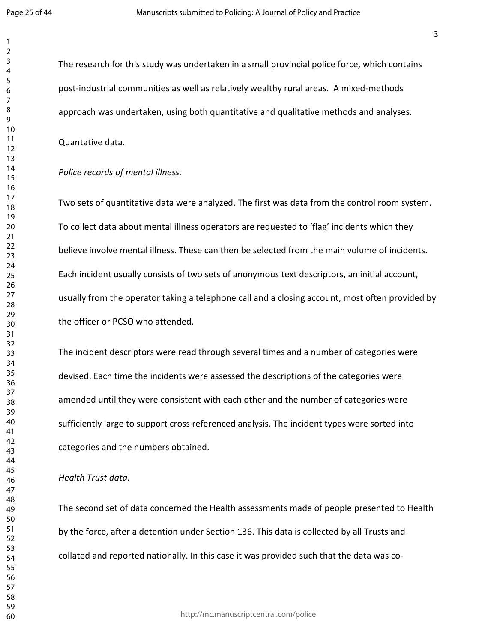The research for this study was undertaken in a small provincial police force, which contains post-industrial communities as well as relatively wealthy rural areas. A mixed-methods approach was undertaken, using both quantitative and qualitative methods and analyses.

Quantative data.

#### *Police records of mental illness.*

Two sets of quantitative data were analyzed. The first was data from the control room system. To collect data about mental illness operators are requested to 'flag' incidents which they believe involve mental illness. These can then be selected from the main volume of incidents. Each incident usually consists of two sets of anonymous text descriptors, an initial account, usually from the operator taking a telephone call and a closing account, most often provided by the officer or PCSO who attended.

The incident descriptors were read through several times and a number of categories were devised. Each time the incidents were assessed the descriptions of the categories were amended until they were consistent with each other and the number of categories were sufficiently large to support cross referenced analysis. The incident types were sorted into categories and the numbers obtained.

#### *Health Trust data.*

The second set of data concerned the Health assessments made of people presented to Health by the force, after a detention under Section 136. This data is collected by all Trusts and collated and reported nationally. In this case it was provided such that the data was co-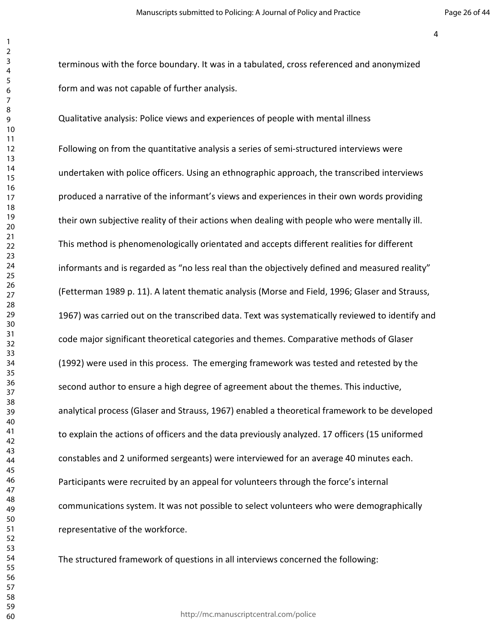terminous with the force boundary. It was in a tabulated, cross referenced and anonymized form and was not capable of further analysis.

Qualitative analysis: Police views and experiences of people with mental illness

Following on from the quantitative analysis a series of semi-structured interviews were undertaken with police officers. Using an ethnographic approach, the transcribed interviews produced a narrative of the informant's views and experiences in their own words providing their own subjective reality of their actions when dealing with people who were mentally ill. This method is phenomenologically orientated and accepts different realities for different informants and is regarded as "no less real than the objectively defined and measured reality" (Fetterman 1989 p. 11). A latent thematic analysis (Morse and Field, 1996; Glaser and Strauss, 1967) was carried out on the transcribed data. Text was systematically reviewed to identify and code major significant theoretical categories and themes. Comparative methods of Glaser (1992) were used in this process. The emerging framework was tested and retested by the second author to ensure a high degree of agreement about the themes. This inductive, analytical process (Glaser and Strauss, 1967) enabled a theoretical framework to be developed to explain the actions of officers and the data previously analyzed. 17 officers (15 uniformed constables and 2 uniformed sergeants) were interviewed for an average 40 minutes each. Participants were recruited by an appeal for volunteers through the force's internal communications system. It was not possible to select volunteers who were demographically representative of the workforce.

The structured framework of questions in all interviews concerned the following:

http://mc.manuscriptcentral.com/police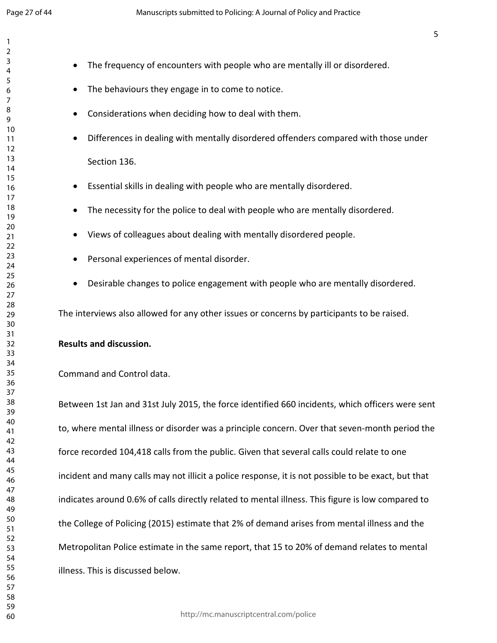- The frequency of encounters with people who are mentally ill or disordered.
	- The behaviours they engage in to come to notice.
	- Considerations when deciding how to deal with them.
	- Differences in dealing with mentally disordered offenders compared with those under Section 136.
	- Essential skills in dealing with people who are mentally disordered.
	- The necessity for the police to deal with people who are mentally disordered.
	- Views of colleagues about dealing with mentally disordered people.
	- Personal experiences of mental disorder.
	- Desirable changes to police engagement with people who are mentally disordered.

The interviews also allowed for any other issues or concerns by participants to be raised.

#### **Results and discussion.**

#### Command and Control data.

Between 1st Jan and 31st July 2015, the force identified 660 incidents, which officers were sent to, where mental illness or disorder was a principle concern. Over that seven-month period the force recorded 104,418 calls from the public. Given that several calls could relate to one incident and many calls may not illicit a police response, it is not possible to be exact, but that indicates around 0.6% of calls directly related to mental illness. This figure is low compared to the College of Policing (2015) estimate that 2% of demand arises from mental illness and the Metropolitan Police estimate in the same report, that 15 to 20% of demand relates to mental illness. This is discussed below.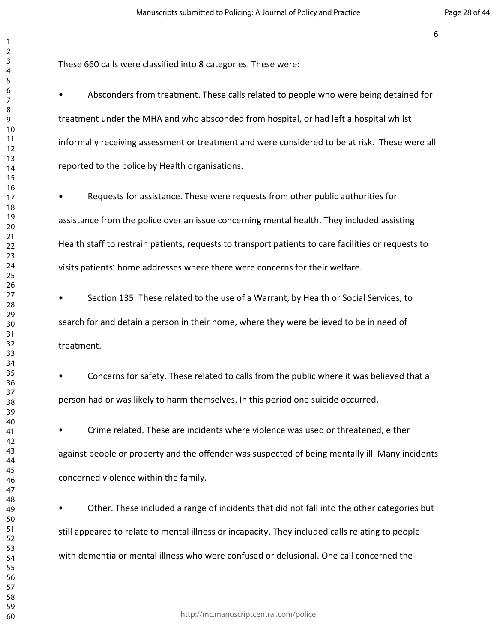These 660 calls were classified into 8 categories. These were:

• Absconders from treatment. These calls related to people who were being detained for treatment under the MHA and who absconded from hospital, or had left a hospital whilst informally receiving assessment or treatment and were considered to be at risk. These were all reported to the police by Health organisations.

• Requests for assistance. These were requests from other public authorities for assistance from the police over an issue concerning mental health. They included assisting Health staff to restrain patients, requests to transport patients to care facilities or requests to visits patients' home addresses where there were concerns for their welfare.

• Section 135. These related to the use of a Warrant, by Health or Social Services, to search for and detain a person in their home, where they were believed to be in need of treatment.

• Concerns for safety. These related to calls from the public where it was believed that a person had or was likely to harm themselves. In this period one suicide occurred.

• Crime related. These are incidents where violence was used or threatened, either against people or property and the offender was suspected of being mentally ill. Many incidents concerned violence within the family.

• Other. These included a range of incidents that did not fall into the other categories but still appeared to relate to mental illness or incapacity. They included calls relating to people with dementia or mental illness who were confused or delusional. One call concerned the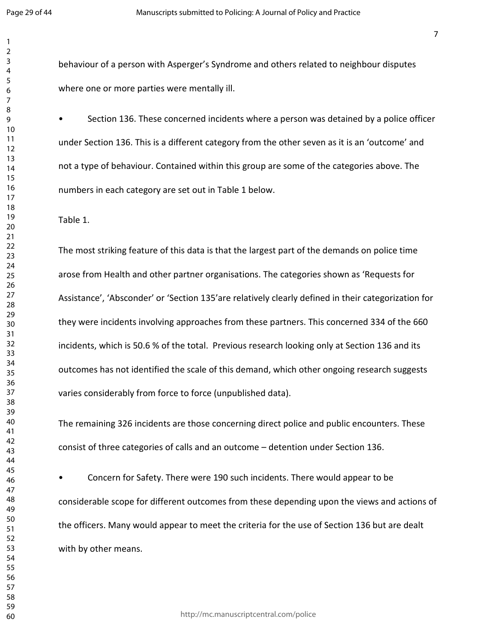behaviour of a person with Asperger's Syndrome and others related to neighbour disputes where one or more parties were mentally ill.

• Section 136. These concerned incidents where a person was detained by a police officer under Section 136. This is a different category from the other seven as it is an 'outcome' and not a type of behaviour. Contained within this group are some of the categories above. The numbers in each category are set out in Table 1 below.

Table 1.

The most striking feature of this data is that the largest part of the demands on police time arose from Health and other partner organisations. The categories shown as 'Requests for Assistance', 'Absconder' or 'Section 135'are relatively clearly defined in their categorization for they were incidents involving approaches from these partners. This concerned 334 of the 660 incidents, which is 50.6 % of the total. Previous research looking only at Section 136 and its outcomes has not identified the scale of this demand, which other ongoing research suggests varies considerably from force to force (unpublished data).

The remaining 326 incidents are those concerning direct police and public encounters. These consist of three categories of calls and an outcome – detention under Section 136.

• Concern for Safety. There were 190 such incidents. There would appear to be considerable scope for different outcomes from these depending upon the views and actions of the officers. Many would appear to meet the criteria for the use of Section 136 but are dealt with by other means.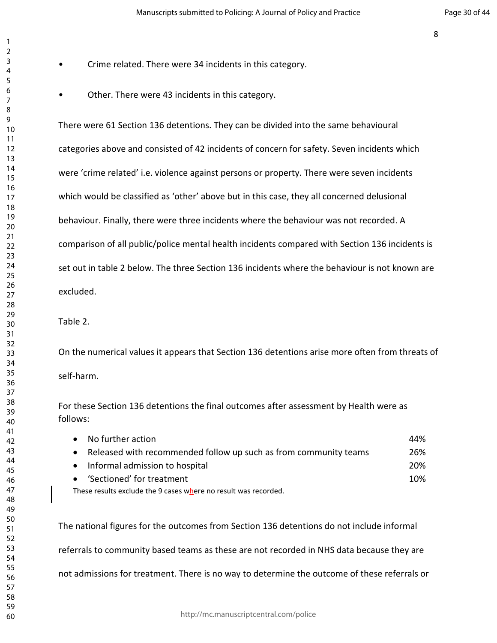- Crime related. There were 34 incidents in this category.
- Other. There were 43 incidents in this category.

There were 61 Section 136 detentions. They can be divided into the same behavioural categories above and consisted of 42 incidents of concern for safety. Seven incidents which were 'crime related' i.e. violence against persons or property. There were seven incidents which would be classified as 'other' above but in this case, they all concerned delusional behaviour. Finally, there were three incidents where the behaviour was not recorded. A comparison of all public/police mental health incidents compared with Section 136 incidents is set out in table 2 below. The three Section 136 incidents where the behaviour is not known are excluded.

#### Table 2.

On the numerical values it appears that Section 136 detentions arise more often from threats of self-harm.

For these Section 136 detentions the final outcomes after assessment by Health were as follows:

| No further action                                                | 44% |
|------------------------------------------------------------------|-----|
| Released with recommended follow up such as from community teams | 26% |
| Informal admission to hospital<br>$\bullet$                      | 20% |
| 'Sectioned' for treatment<br>$\bullet$                           | 10% |
| These results exclude the 9 cases where no result was recorded.  |     |

The national figures for the outcomes from Section 136 detentions do not include informal referrals to community based teams as these are not recorded in NHS data because they are not admissions for treatment. There is no way to determine the outcome of these referrals or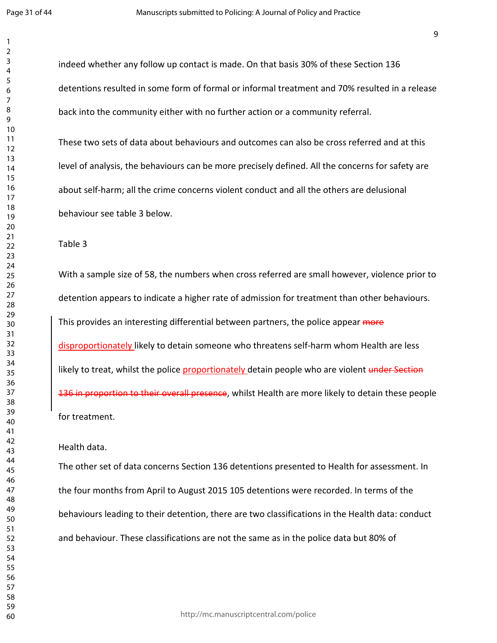indeed whether any follow up contact is made. On that basis 30% of these Section 136 detentions resulted in some form of formal or informal treatment and 70% resulted in a release back into the community either with no further action or a community referral.

These two sets of data about behaviours and outcomes can also be cross referred and at this level of analysis, the behaviours can be more precisely defined. All the concerns for safety are about self-harm; all the crime concerns violent conduct and all the others are delusional behaviour see table 3 below.

Table 3

With a sample size of 58, the numbers when cross referred are small however, violence prior to detention appears to indicate a higher rate of admission for treatment than other behaviours. This provides an interesting differential between partners, the police appear more disproportionately likely to detain someone who threatens self-harm whom Health are less likely to treat, whilst the police proportionately detain people who are violent under Section 136 in proportion to their overall presence, whilst Health are more likely to detain these people for treatment.

Health data.

The other set of data concerns Section 136 detentions presented to Health for assessment. In the four months from April to August 2015 105 detentions were recorded. In terms of the behaviours leading to their detention, there are two classifications in the Health data: conduct and behaviour. These classifications are not the same as in the police data but 80% of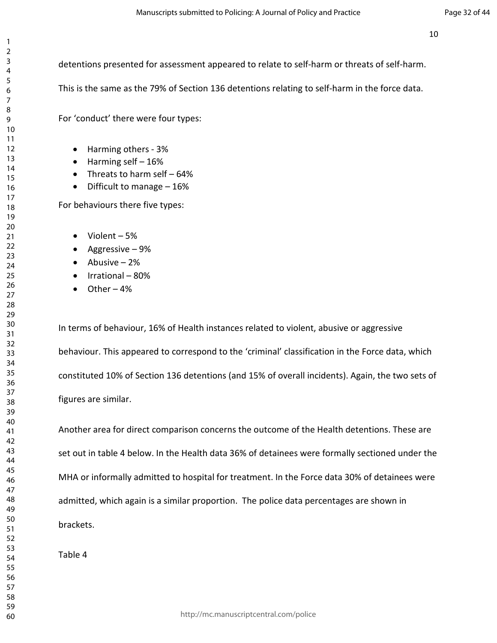detentions presented for assessment appeared to relate to self-harm or threats of self-harm.

This is the same as the 79% of Section 136 detentions relating to self-harm in the force data.

For 'conduct' there were four types:

- Harming others 3%
- $\bullet$  Harming self  $-16\%$
- Threats to harm self 64%
- Difficult to manage 16%

For behaviours there five types:

- $\bullet$  Violent 5%
- Aggressive  $-9%$
- $\bullet$  Abusive 2%
- Irrational 80%
- $\bullet$  Other 4%

In terms of behaviour, 16% of Health instances related to violent, abusive or aggressive behaviour. This appeared to correspond to the 'criminal' classification in the Force data, which constituted 10% of Section 136 detentions (and 15% of overall incidents). Again, the two sets of figures are similar.

Another area for direct comparison concerns the outcome of the Health detentions. These are set out in table 4 below. In the Health data 36% of detainees were formally sectioned under the MHA or informally admitted to hospital for treatment. In the Force data 30% of detainees were admitted, which again is a similar proportion. The police data percentages are shown in brackets.

Table 4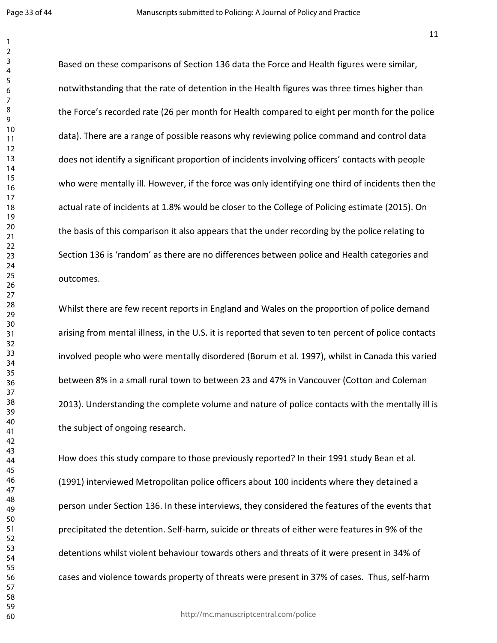Based on these comparisons of Section 136 data the Force and Health figures were similar, notwithstanding that the rate of detention in the Health figures was three times higher than the Force's recorded rate (26 per month for Health compared to eight per month for the police data). There are a range of possible reasons why reviewing police command and control data does not identify a significant proportion of incidents involving officers' contacts with people who were mentally ill. However, if the force was only identifying one third of incidents then the actual rate of incidents at 1.8% would be closer to the College of Policing estimate (2015). On the basis of this comparison it also appears that the under recording by the police relating to Section 136 is 'random' as there are no differences between police and Health categories and outcomes.

Whilst there are few recent reports in England and Wales on the proportion of police demand arising from mental illness, in the U.S. it is reported that seven to ten percent of police contacts involved people who were mentally disordered (Borum et al. 1997), whilst in Canada this varied between 8% in a small rural town to between 23 and 47% in Vancouver (Cotton and Coleman 2013). Understanding the complete volume and nature of police contacts with the mentally ill is the subject of ongoing research.

How does this study compare to those previously reported? In their 1991 study Bean et al. (1991) interviewed Metropolitan police officers about 100 incidents where they detained a person under Section 136. In these interviews, they considered the features of the events that precipitated the detention. Self-harm, suicide or threats of either were features in 9% of the detentions whilst violent behaviour towards others and threats of it were present in 34% of cases and violence towards property of threats were present in 37% of cases. Thus, self-harm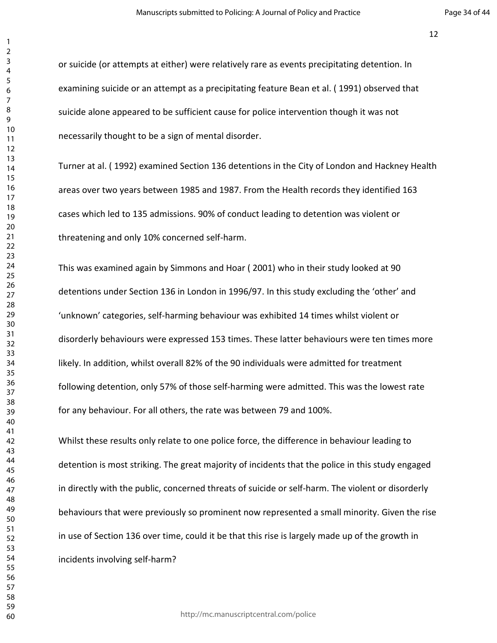or suicide (or attempts at either) were relatively rare as events precipitating detention. In examining suicide or an attempt as a precipitating feature Bean et al. ( 1991) observed that suicide alone appeared to be sufficient cause for police intervention though it was not necessarily thought to be a sign of mental disorder.

Turner at al. ( 1992) examined Section 136 detentions in the City of London and Hackney Health areas over two years between 1985 and 1987. From the Health records they identified 163 cases which led to 135 admissions. 90% of conduct leading to detention was violent or threatening and only 10% concerned self-harm.

This was examined again by Simmons and Hoar ( 2001) who in their study looked at 90 detentions under Section 136 in London in 1996/97. In this study excluding the 'other' and 'unknown' categories, self-harming behaviour was exhibited 14 times whilst violent or disorderly behaviours were expressed 153 times. These latter behaviours were ten times more likely. In addition, whilst overall 82% of the 90 individuals were admitted for treatment following detention, only 57% of those self-harming were admitted. This was the lowest rate for any behaviour. For all others, the rate was between 79 and 100%.

Whilst these results only relate to one police force, the difference in behaviour leading to detention is most striking. The great majority of incidents that the police in this study engaged in directly with the public, concerned threats of suicide or self-harm. The violent or disorderly behaviours that were previously so prominent now represented a small minority. Given the rise in use of Section 136 over time, could it be that this rise is largely made up of the growth in incidents involving self-harm?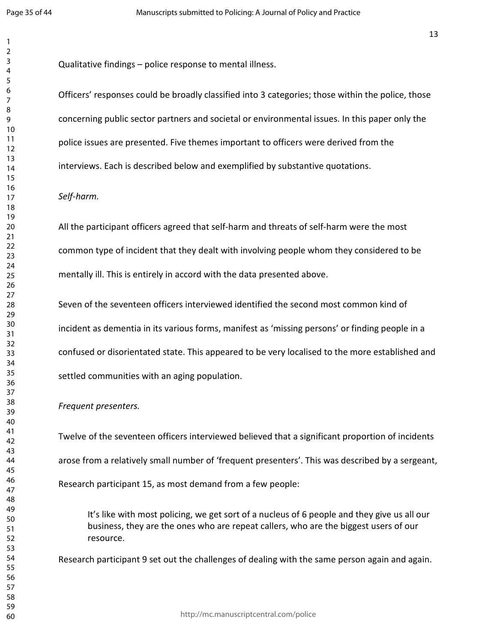Qualitative findings – police response to mental illness.

Officers' responses could be broadly classified into 3 categories; those within the police, those concerning public sector partners and societal or environmental issues. In this paper only the police issues are presented. Five themes important to officers were derived from the interviews. Each is described below and exemplified by substantive quotations.

#### *Self-harm.*

All the participant officers agreed that self-harm and threats of self-harm were the most common type of incident that they dealt with involving people whom they considered to be mentally ill. This is entirely in accord with the data presented above.

Seven of the seventeen officers interviewed identified the second most common kind of incident as dementia in its various forms, manifest as 'missing persons' or finding people in a confused or disorientated state. This appeared to be very localised to the more established and settled communities with an aging population.

#### *Frequent presenters.*

Twelve of the seventeen officers interviewed believed that a significant proportion of incidents arose from a relatively small number of 'frequent presenters'. This was described by a sergeant, Research participant 15, as most demand from a few people:

It's like with most policing, we get sort of a nucleus of 6 people and they give us all our business, they are the ones who are repeat callers, who are the biggest users of our resource.

Research participant 9 set out the challenges of dealing with the same person again and again.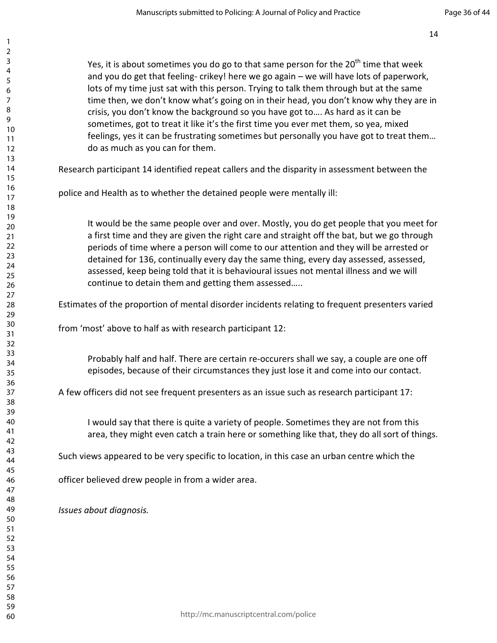Yes, it is about sometimes you do go to that same person for the  $20<sup>th</sup>$  time that week and you do get that feeling- crikey! here we go again – we will have lots of paperwork, lots of my time just sat with this person. Trying to talk them through but at the same time then, we don't know what's going on in their head, you don't know why they are in crisis, you don't know the background so you have got to…. As hard as it can be sometimes, got to treat it like it's the first time you ever met them, so yea, mixed feelings, yes it can be frustrating sometimes but personally you have got to treat them… do as much as you can for them.

Research participant 14 identified repeat callers and the disparity in assessment between the

police and Health as to whether the detained people were mentally ill:

It would be the same people over and over. Mostly, you do get people that you meet for a first time and they are given the right care and straight off the bat, but we go through periods of time where a person will come to our attention and they will be arrested or detained for 136, continually every day the same thing, every day assessed, assessed, assessed, keep being told that it is behavioural issues not mental illness and we will continue to detain them and getting them assessed…..

Estimates of the proportion of mental disorder incidents relating to frequent presenters varied

from 'most' above to half as with research participant 12:

Probably half and half. There are certain re-occurers shall we say, a couple are one off episodes, because of their circumstances they just lose it and come into our contact.

A few officers did not see frequent presenters as an issue such as research participant 17:

I would say that there is quite a variety of people. Sometimes they are not from this area, they might even catch a train here or something like that, they do all sort of things.

Such views appeared to be very specific to location, in this case an urban centre which the

officer believed drew people in from a wider area.

*Issues about diagnosis.*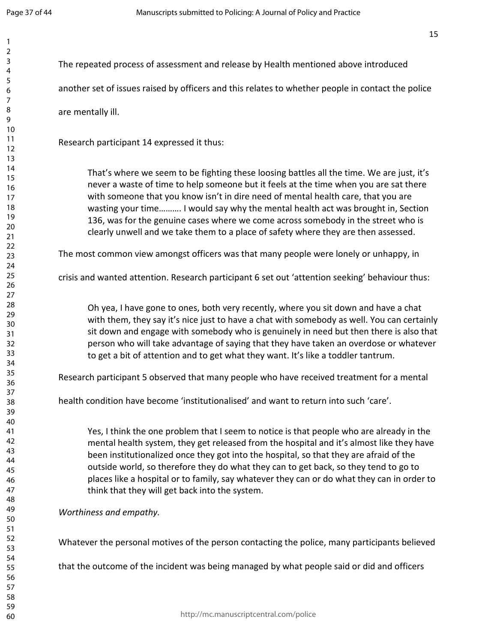| The repeated process of assessment and release by Health mentioned above introduced                                                                                                                                                                                                                                                                                                                                                                                                                                                   |
|---------------------------------------------------------------------------------------------------------------------------------------------------------------------------------------------------------------------------------------------------------------------------------------------------------------------------------------------------------------------------------------------------------------------------------------------------------------------------------------------------------------------------------------|
| another set of issues raised by officers and this relates to whether people in contact the police                                                                                                                                                                                                                                                                                                                                                                                                                                     |
| are mentally ill.                                                                                                                                                                                                                                                                                                                                                                                                                                                                                                                     |
| Research participant 14 expressed it thus:                                                                                                                                                                                                                                                                                                                                                                                                                                                                                            |
| That's where we seem to be fighting these loosing battles all the time. We are just, it's<br>never a waste of time to help someone but it feels at the time when you are sat there<br>with someone that you know isn't in dire need of mental health care, that you are<br>wasting your time I would say why the mental health act was brought in, Section<br>136, was for the genuine cases where we come across somebody in the street who is<br>clearly unwell and we take them to a place of safety where they are then assessed. |
| The most common view amongst officers was that many people were lonely or unhappy, in                                                                                                                                                                                                                                                                                                                                                                                                                                                 |
| crisis and wanted attention. Research participant 6 set out 'attention seeking' behaviour thus:                                                                                                                                                                                                                                                                                                                                                                                                                                       |
| Oh yea, I have gone to ones, both very recently, where you sit down and have a chat<br>with them, they say it's nice just to have a chat with somebody as well. You can certainly<br>sit down and engage with somebody who is genuinely in need but then there is also that<br>person who will take advantage of saying that they have taken an overdose or whatever<br>to get a bit of attention and to get what they want. It's like a toddler tantrum.                                                                             |
| Research participant 5 observed that many people who have received treatment for a mental                                                                                                                                                                                                                                                                                                                                                                                                                                             |
| health condition have become 'institutionalised' and want to return into such 'care'.                                                                                                                                                                                                                                                                                                                                                                                                                                                 |
| Yes, I think the one problem that I seem to notice is that people who are already in the<br>mental health system, they get released from the hospital and it's almost like they have<br>been institutionalized once they got into the hospital, so that they are afraid of the<br>outside world, so therefore they do what they can to get back, so they tend to go to<br>places like a hospital or to family, say whatever they can or do what they can in order to<br>think that they will get back into the system.                |
| Worthiness and empathy.                                                                                                                                                                                                                                                                                                                                                                                                                                                                                                               |
| Whatever the personal motives of the person contacting the police, many participants believed                                                                                                                                                                                                                                                                                                                                                                                                                                         |
| that the outcome of the incident was being managed by what people said or did and officers                                                                                                                                                                                                                                                                                                                                                                                                                                            |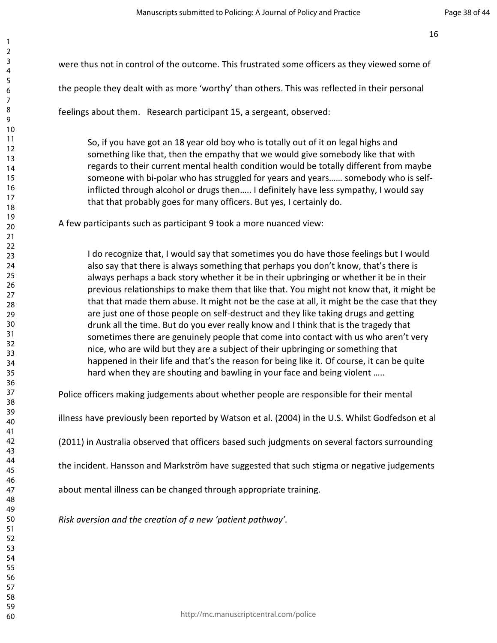were thus not in control of the outcome. This frustrated some officers as they viewed some of

the people they dealt with as more 'worthy' than others. This was reflected in their personal

feelings about them. Research participant 15, a sergeant, observed:

So, if you have got an 18 year old boy who is totally out of it on legal highs and something like that, then the empathy that we would give somebody like that with regards to their current mental health condition would be totally different from maybe someone with bi-polar who has struggled for years and years…… somebody who is selfinflicted through alcohol or drugs then….. I definitely have less sympathy, I would say that that probably goes for many officers. But yes, I certainly do.

A few participants such as participant 9 took a more nuanced view:

I do recognize that, I would say that sometimes you do have those feelings but I would also say that there is always something that perhaps you don't know, that's there is always perhaps a back story whether it be in their upbringing or whether it be in their previous relationships to make them that like that. You might not know that, it might be that that made them abuse. It might not be the case at all, it might be the case that they are just one of those people on self-destruct and they like taking drugs and getting drunk all the time. But do you ever really know and I think that is the tragedy that sometimes there are genuinely people that come into contact with us who aren't very nice, who are wild but they are a subject of their upbringing or something that happened in their life and that's the reason for being like it. Of course, it can be quite hard when they are shouting and bawling in your face and being violent …..

Police officers making judgements about whether people are responsible for their mental

illness have previously been reported by Watson et al. (2004) in the U.S. Whilst Godfedson et al

(2011) in Australia observed that officers based such judgments on several factors surrounding

the incident. Hansson and Markström have suggested that such stigma or negative judgements

about mental illness can be changed through appropriate training.

*Risk aversion and the creation of a new 'patient pathway'.*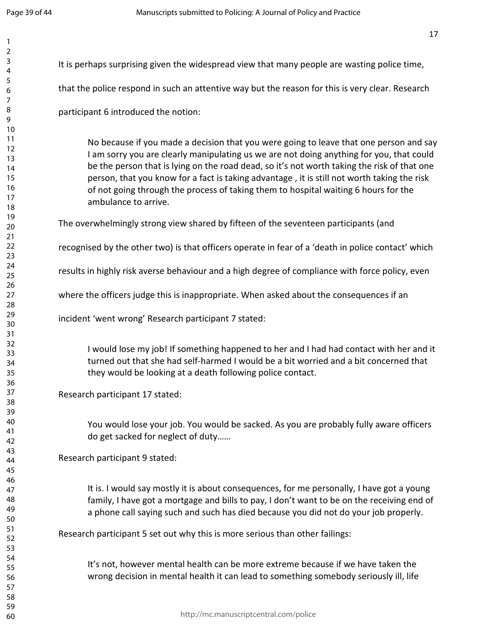| It is perhaps surprising given the widespread view that many people are wasting police time,                                                                                                                                                                                                                                                                                                                                                                                                    |
|-------------------------------------------------------------------------------------------------------------------------------------------------------------------------------------------------------------------------------------------------------------------------------------------------------------------------------------------------------------------------------------------------------------------------------------------------------------------------------------------------|
| that the police respond in such an attentive way but the reason for this is very clear. Research                                                                                                                                                                                                                                                                                                                                                                                                |
| participant 6 introduced the notion:                                                                                                                                                                                                                                                                                                                                                                                                                                                            |
| No because if you made a decision that you were going to leave that one person and say<br>I am sorry you are clearly manipulating us we are not doing anything for you, that could<br>be the person that is lying on the road dead, so it's not worth taking the risk of that one<br>person, that you know for a fact is taking advantage, it is still not worth taking the risk<br>of not going through the process of taking them to hospital waiting 6 hours for the<br>ambulance to arrive. |
| The overwhelmingly strong view shared by fifteen of the seventeen participants (and                                                                                                                                                                                                                                                                                                                                                                                                             |
| recognised by the other two) is that officers operate in fear of a 'death in police contact' which                                                                                                                                                                                                                                                                                                                                                                                              |
| results in highly risk averse behaviour and a high degree of compliance with force policy, even                                                                                                                                                                                                                                                                                                                                                                                                 |
| where the officers judge this is inappropriate. When asked about the consequences if an                                                                                                                                                                                                                                                                                                                                                                                                         |
| incident 'went wrong' Research participant 7 stated:                                                                                                                                                                                                                                                                                                                                                                                                                                            |
| I would lose my job! If something happened to her and I had had contact with her and it<br>turned out that she had self-harmed I would be a bit worried and a bit concerned that<br>they would be looking at a death following police contact.                                                                                                                                                                                                                                                  |
| Research participant 17 stated:                                                                                                                                                                                                                                                                                                                                                                                                                                                                 |
| You would lose your job. You would be sacked. As you are probably fully aware officers<br>do get sacked for neglect of duty                                                                                                                                                                                                                                                                                                                                                                     |
| Research participant 9 stated:                                                                                                                                                                                                                                                                                                                                                                                                                                                                  |
| It is. I would say mostly it is about consequences, for me personally, I have got a young<br>family, I have got a mortgage and bills to pay, I don't want to be on the receiving end of<br>a phone call saying such and such has died because you did not do your job properly.                                                                                                                                                                                                                 |
| Research participant 5 set out why this is more serious than other failings:                                                                                                                                                                                                                                                                                                                                                                                                                    |
| It's not, however mental health can be more extreme because if we have taken the<br>wrong decision in mental health it can lead to something somebody seriously ill, life                                                                                                                                                                                                                                                                                                                       |
| http://mc.manuscriptcentral.com/police                                                                                                                                                                                                                                                                                                                                                                                                                                                          |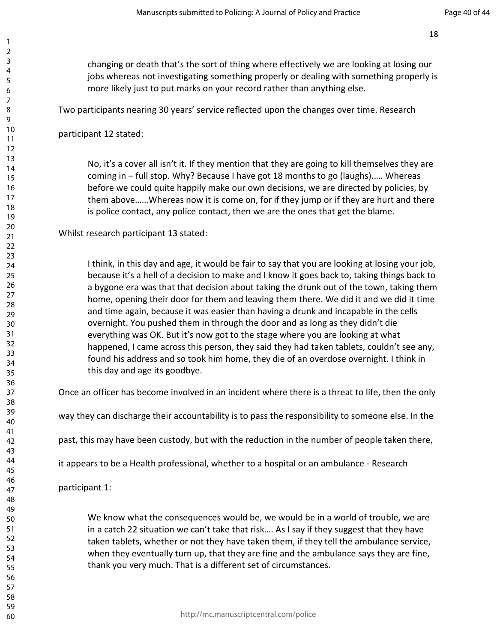changing or death that's the sort of thing where effectively we are looking at losing our jobs whereas not investigating something properly or dealing with something properly is more likely just to put marks on your record rather than anything else.

Two participants nearing 30 years' service reflected upon the changes over time. Research

participant 12 stated:

No, it's a cover all isn't it. If they mention that they are going to kill themselves they are coming in – full stop. Why? Because I have got 18 months to go (laughs).…. Whereas before we could quite happily make our own decisions, we are directed by policies, by them above……Whereas now it is come on, for if they jump or if they are hurt and there is police contact, any police contact, then we are the ones that get the blame.

Whilst research participant 13 stated:

I think, in this day and age, it would be fair to say that you are looking at losing your job, because it's a hell of a decision to make and I know it goes back to, taking things back to a bygone era was that that decision about taking the drunk out of the town, taking them home, opening their door for them and leaving them there. We did it and we did it time and time again, because it was easier than having a drunk and incapable in the cells overnight. You pushed them in through the door and as long as they didn't die everything was OK. But it's now got to the stage where you are looking at what happened, I came across this person, they said they had taken tablets, couldn't see any, found his address and so took him home, they die of an overdose overnight. I think in this day and age its goodbye.

Once an officer has become involved in an incident where there is a threat to life, then the only

way they can discharge their accountability is to pass the responsibility to someone else. In the

past, this may have been custody, but with the reduction in the number of people taken there,

it appears to be a Health professional, whether to a hospital or an ambulance - Research

participant 1:

We know what the consequences would be, we would be in a world of trouble, we are in a catch 22 situation we can't take that risk…. As I say if they suggest that they have taken tablets, whether or not they have taken them, if they tell the ambulance service, when they eventually turn up, that they are fine and the ambulance says they are fine, thank you very much. That is a different set of circumstances.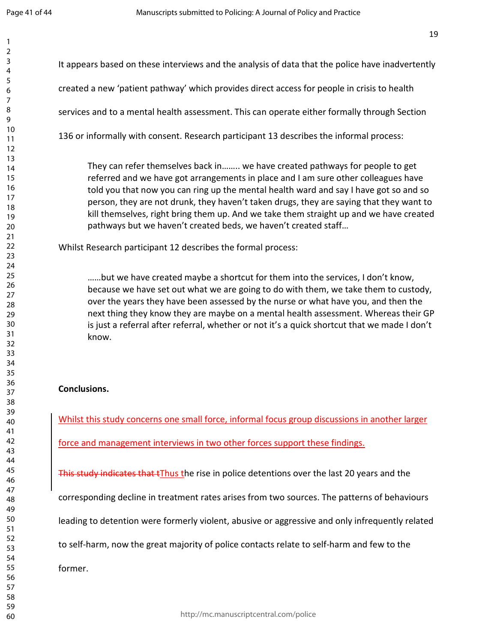| $\mathbf{1}$   |                                                                                                  |
|----------------|--------------------------------------------------------------------------------------------------|
| $\overline{2}$ |                                                                                                  |
| 3              | It appears based on these interviews and the analysis of data that the police have inadvertently |
| 4              |                                                                                                  |
| 5              | created a new 'patient pathway' which provides direct access for people in crisis to health      |
| 6              |                                                                                                  |
| 7              |                                                                                                  |
| 8<br>9         | services and to a mental health assessment. This can operate either formally through Section     |
| 10             |                                                                                                  |
| 11             | 136 or informally with consent. Research participant 13 describes the informal process:          |
| 12             |                                                                                                  |
| 13             |                                                                                                  |
| 14             | They can refer themselves back in we have created pathways for people to get                     |
| 15             | referred and we have got arrangements in place and I am sure other colleagues have               |
| 16             |                                                                                                  |
| 17             | told you that now you can ring up the mental health ward and say I have got so and so            |
| 18             | person, they are not drunk, they haven't taken drugs, they are saying that they want to          |
| 19             | kill themselves, right bring them up. And we take them straight up and we have created           |
| 20             | pathways but we haven't created beds, we haven't created staff                                   |
| 21             |                                                                                                  |
| 22             | Whilst Research participant 12 describes the formal process:                                     |
| 23             |                                                                                                  |
| 24             |                                                                                                  |
| 25             | but we have created maybe a shortcut for them into the services, I don't know,                   |
| 26             |                                                                                                  |
| 27             | because we have set out what we are going to do with them, we take them to custody,              |
| 28             | over the years they have been assessed by the nurse or what have you, and then the               |
| 29             | next thing they know they are maybe on a mental health assessment. Whereas their GP              |
| 30             | is just a referral after referral, whether or not it's a quick shortcut that we made I don't     |
| 31             | know.                                                                                            |
| 32             |                                                                                                  |
| 33             |                                                                                                  |
| 34             |                                                                                                  |
| 35             |                                                                                                  |
| 36             | <b>Conclusions.</b>                                                                              |
| 37             |                                                                                                  |
| 38             |                                                                                                  |
| 39             |                                                                                                  |
| 40             | Whilst this study concerns one small force, informal focus group discussions in another larger   |
| 41             |                                                                                                  |
| 42             | force and management interviews in two other forces support these findings.                      |
| 43             |                                                                                                  |
| 44             |                                                                                                  |
| 45             | This study indicates that the rise in police detentions over the last 20 years and the           |
| 46             |                                                                                                  |
| 47             | corresponding decline in treatment rates arises from two sources. The patterns of behaviours     |
| 48             |                                                                                                  |
| 49             |                                                                                                  |
| 50             | leading to detention were formerly violent, abusive or aggressive and only infrequently related  |
| 51             |                                                                                                  |
| 52             | to self-harm, now the great majority of police contacts relate to self-harm and few to the       |
| 53             |                                                                                                  |
| 54             |                                                                                                  |
| 55             | former.                                                                                          |
| 56             |                                                                                                  |
| 57             |                                                                                                  |
| 58             |                                                                                                  |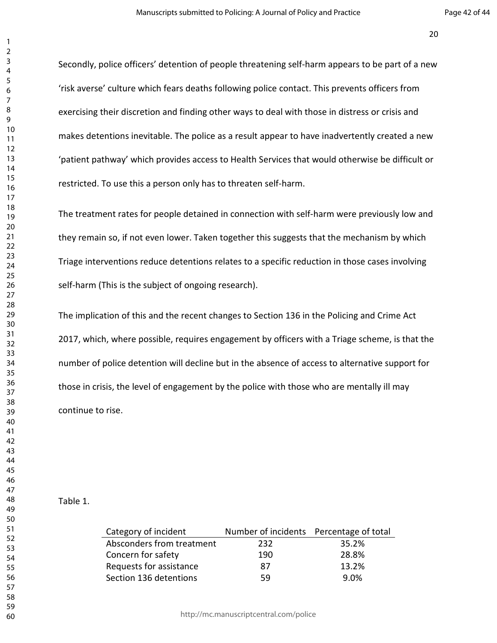Secondly, police officers' detention of people threatening self-harm appears to be part of a new 'risk averse' culture which fears deaths following police contact. This prevents officers from exercising their discretion and finding other ways to deal with those in distress or crisis and makes detentions inevitable. The police as a result appear to have inadvertently created a new 'patient pathway' which provides access to Health Services that would otherwise be difficult or restricted. To use this a person only has to threaten self-harm.

The treatment rates for people detained in connection with self-harm were previously low and they remain so, if not even lower. Taken together this suggests that the mechanism by which Triage interventions reduce detentions relates to a specific reduction in those cases involving self-harm (This is the subject of ongoing research).

The implication of this and the recent changes to Section 136 in the Policing and Crime Act 2017, which, where possible, requires engagement by officers with a Triage scheme, is that the number of police detention will decline but in the absence of access to alternative support for those in crisis, the level of engagement by the police with those who are mentally ill may continue to rise.

#### Table 1.

| Category of incident      | Number of incidents Percentage of total |       |
|---------------------------|-----------------------------------------|-------|
| Absconders from treatment | 232                                     | 35.2% |
| Concern for safety        | 190                                     | 28.8% |
| Requests for assistance   | 87                                      | 13.2% |
| Section 136 detentions    | 59                                      | 9.0%  |
|                           |                                         |       |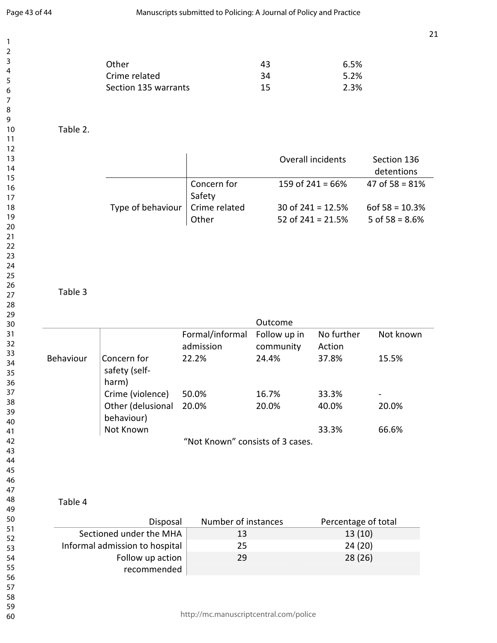| Other                | 43 | 6.5% |
|----------------------|----|------|
| Crime related        | 34 | 5.2% |
| Section 135 warrants | 15 | 2.3% |

Table 2.

|                   |                       | Overall incidents   | Section 136<br>detentions |
|-------------------|-----------------------|---------------------|---------------------------|
|                   | Concern for<br>Safety | 159 of $241 = 66\%$ | 47 of $58 = 81\%$         |
| Type of behaviour | Crime related         | 30 of $241 = 12.5%$ | $60f\,58 = 10.3\%$        |
|                   | Other                 | 52 of $241 = 21.5%$ | 5 of $58 = 8.6%$          |

#### Table 3

|           |                                       |                                  | Outcome                   |                      |           |
|-----------|---------------------------------------|----------------------------------|---------------------------|----------------------|-----------|
|           |                                       | Formal/informal<br>admission     | Follow up in<br>community | No further<br>Action | Not known |
| Behaviour | Concern for<br>safety (self-<br>harm) | 22.2%                            | 24.4%                     | 37.8%                | 15.5%     |
|           | Crime (violence)                      | 50.0%                            | 16.7%                     | 33.3%                |           |
|           | Other (delusional<br>behaviour)       | 20.0%                            | 20.0%                     | 40.0%                | 20.0%     |
|           | Not Known                             |                                  |                           | 33.3%                | 66.6%     |
|           |                                       | "Not Known" consists of 3 cases. |                           |                      |           |

Table 4

| Disposal                        | Number of instances | Percentage of total |
|---------------------------------|---------------------|---------------------|
| Sectioned under the MHA         | 13                  | 13(10)              |
| Informal admission to hospital  | 25                  | 24 (20)             |
| Follow up action<br>recommended | 29                  | 28(26)              |